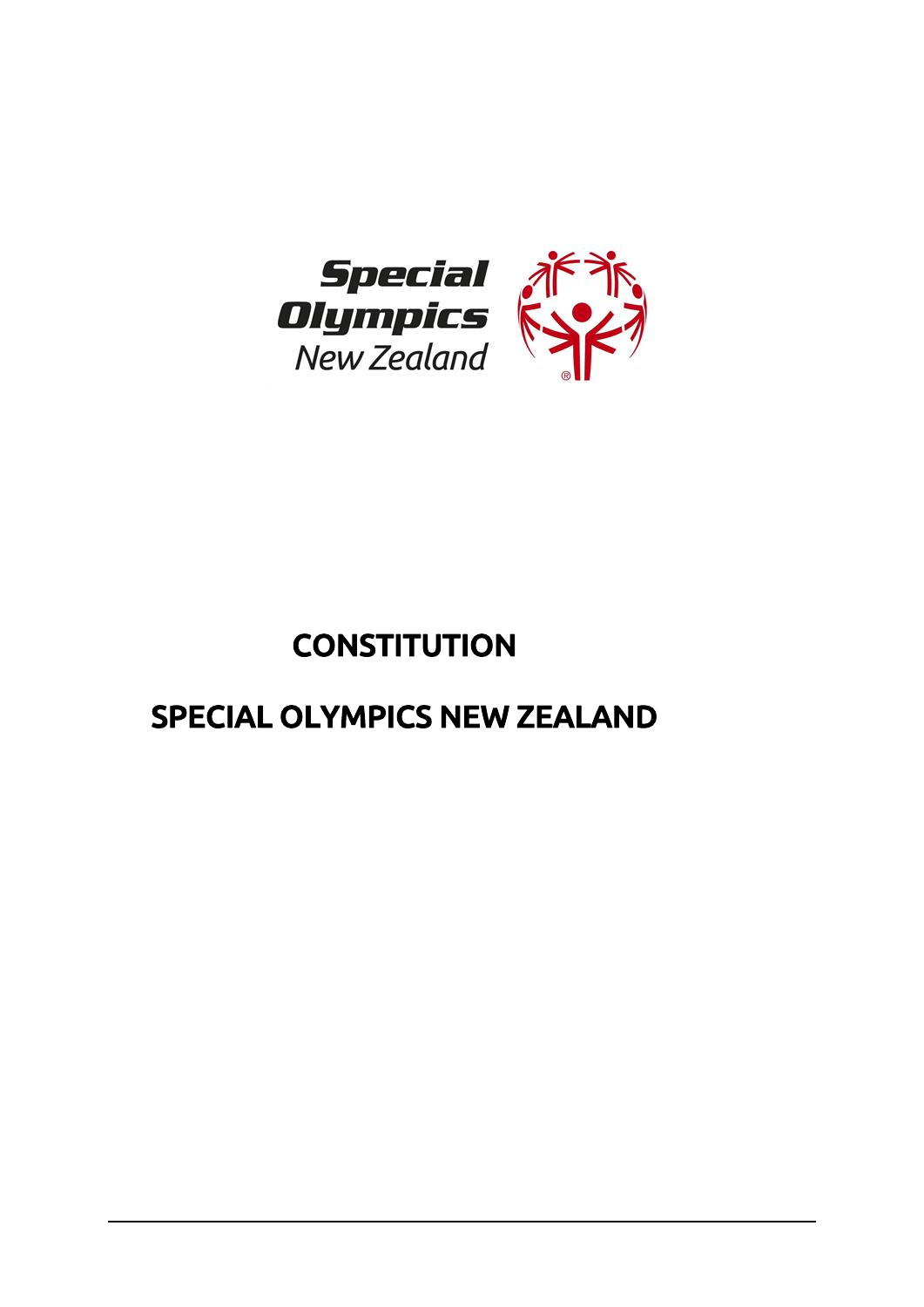

# **CONSTITUTION**

## SPECIAL OLYMPICS NEW ZEALAND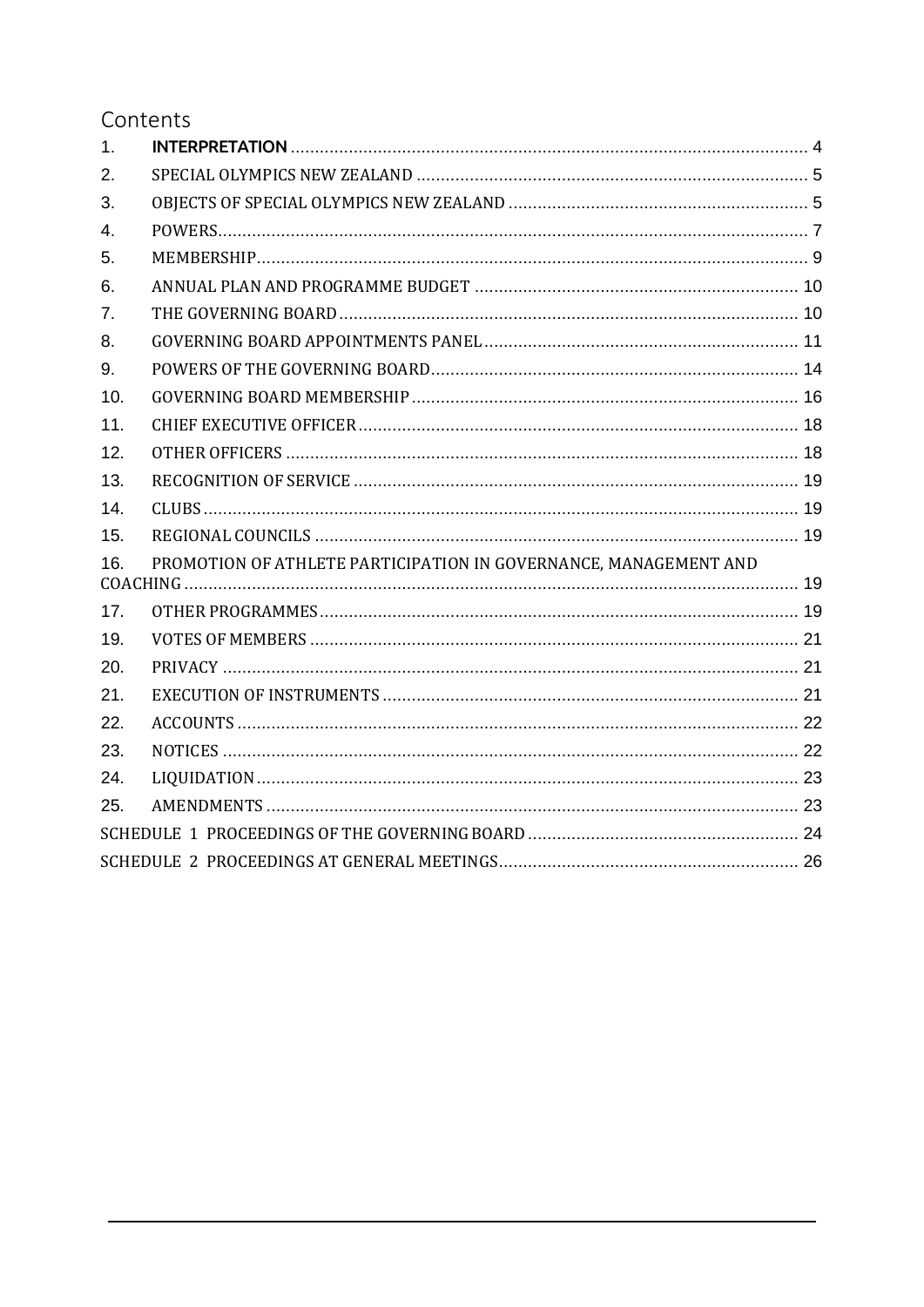### Contents

| 1.             |                                                                  |  |
|----------------|------------------------------------------------------------------|--|
| 2.             |                                                                  |  |
| 3.             |                                                                  |  |
| 4.             |                                                                  |  |
| 5.             |                                                                  |  |
| 6.             |                                                                  |  |
| 7 <sub>1</sub> |                                                                  |  |
| 8.             |                                                                  |  |
| 9.             |                                                                  |  |
| 10.            |                                                                  |  |
| 11.            |                                                                  |  |
| 12.            |                                                                  |  |
| 13.            |                                                                  |  |
| 14.            |                                                                  |  |
| 15.            |                                                                  |  |
| 16.            | PROMOTION OF ATHLETE PARTICIPATION IN GOVERNANCE, MANAGEMENT AND |  |
| 17.            |                                                                  |  |
| 19.            |                                                                  |  |
| 20.            |                                                                  |  |
| 21.            |                                                                  |  |
| 22.            |                                                                  |  |
| 23.            |                                                                  |  |
| 24.            |                                                                  |  |
| 25.            |                                                                  |  |
|                |                                                                  |  |
|                |                                                                  |  |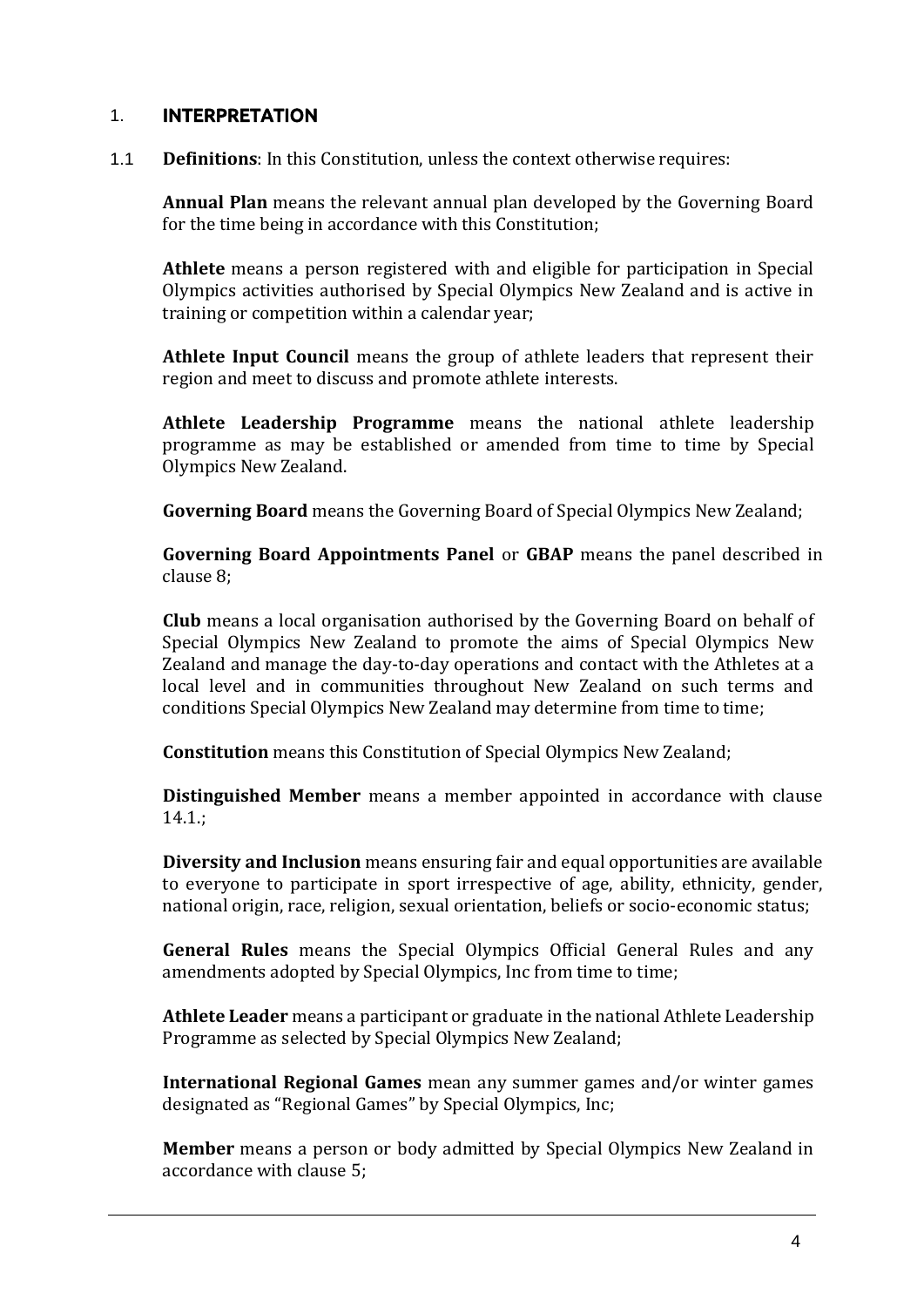#### <span id="page-2-0"></span>1. INTERPRETATION

1.1 **Definitions**: In this Constitution, unless the context otherwise requires:

**Annual Plan** means the relevant annual plan developed by the Governing Board for the time being in accordance with this Constitution;

**Athlete** means a person registered with and eligible for participation in Special Olympics activities authorised by Special Olympics New Zealand and is active in training or competition within a calendar year;

**Athlete Input Council** means the group of athlete leaders that represent their region and meet to discuss and promote athlete interests.

**Athlete Leadership Programme** means the national athlete leadership programme as may be established or amended from time to time by Special Olympics New Zealand.

**Governing Board** means the Governing Board of Special Olympics New Zealand;

**Governing Board Appointments Panel** or **GBAP** means the panel described in clause 8;

**Club** means a local organisation authorised by the Governing Board on behalf of Special Olympics New Zealand to promote the aims of Special Olympics New Zealand and manage the day-to-day operations and contact with the Athletes at a local level and in communities throughout New Zealand on such terms and conditions Special Olympics New Zealand may determine from time to time;

**Constitution** means this Constitution of Special Olympics New Zealand;

**Distinguished Member** means a member appointed in accordance with clause 14.1.;

**Diversity and Inclusion** means ensuring fair and equal opportunities are available to everyone to participate in sport irrespective of age, ability, ethnicity, gender, national origin, race, religion, sexual orientation, beliefs or socio-economic status;

**General Rules** means the Special Olympics Official General Rules and any amendments adopted by Special Olympics, Inc from time to time;

**Athlete Leader** means a participant or graduate in the national Athlete Leadership Programme as selected by Special Olympics New Zealand;

**International Regional Games** mean any summer games and/or winter games designated as "Regional Games" by Special Olympics, Inc;

**Member** means a person or body admitted by Special Olympics New Zealand in accordance with clause 5;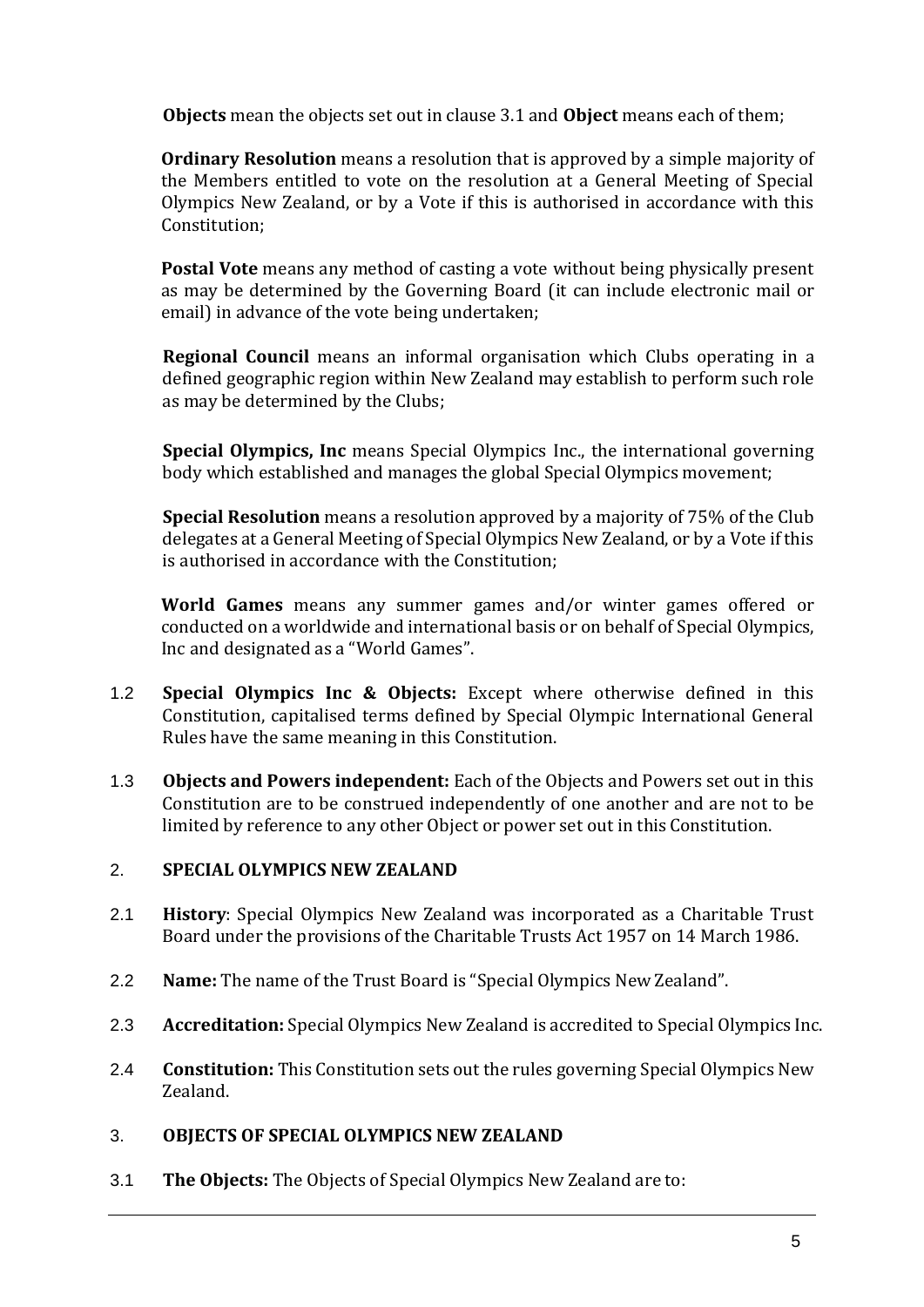**Objects** mean the objects set out in clause 3.1 and **Object** means each of them;

**Ordinary Resolution** means a resolution that is approved by a simple majority of the Members entitled to vote on the resolution at a General Meeting of Special Olympics New Zealand, or by a Vote if this is authorised in accordance with this Constitution;

**Postal Vote** means any method of casting a vote without being physically present as may be determined by the Governing Board (it can include electronic mail or email) in advance of the vote being undertaken;

**Regional Council** means an informal organisation which Clubs operating in a defined geographic region within New Zealand may establish to perform such role as may be determined by the Clubs;

**Special Olympics, Inc** means Special Olympics Inc., the international governing body which established and manages the global Special Olympics movement;

**Special Resolution** means a resolution approved by a majority of 75% of the Club delegates at a General Meeting of Special Olympics New Zealand, or by a Vote if this is authorised in accordance with the Constitution;

**World Games** means any summer games and/or winter games offered or conducted on a worldwide and international basis or on behalf of Special Olympics, Inc and designated as a "World Games".

- 1.2 **Special Olympics Inc & Objects:** Except where otherwise defined in this Constitution, capitalised terms defined by Special Olympic International General Rules have the same meaning in this Constitution.
- 1.3 **Objects and Powers independent:** Each of the Objects and Powers set out in this Constitution are to be construed independently of one another and are not to be limited by reference to any other Object or power set out in this Constitution.

#### <span id="page-3-0"></span>2. **SPECIAL OLYMPICS NEW ZEALAND**

- 2.1 **History**: Special Olympics New Zealand was incorporated as a Charitable Trust Board under the provisions of the Charitable Trusts Act 1957 on 14 March 1986.
- 2.2 **Name:** The name of the Trust Board is "Special Olympics New Zealand".
- 2.3 **Accreditation:** Special Olympics New Zealand is accredited to Special Olympics Inc.
- 2.4 **Constitution:** This Constitution sets out the rules governing Special Olympics New Zealand.

#### <span id="page-3-1"></span>3. **OBJECTS OF SPECIAL OLYMPICS NEW ZEALAND**

3.1 **The Objects:** The Objects of Special Olympics New Zealand are to: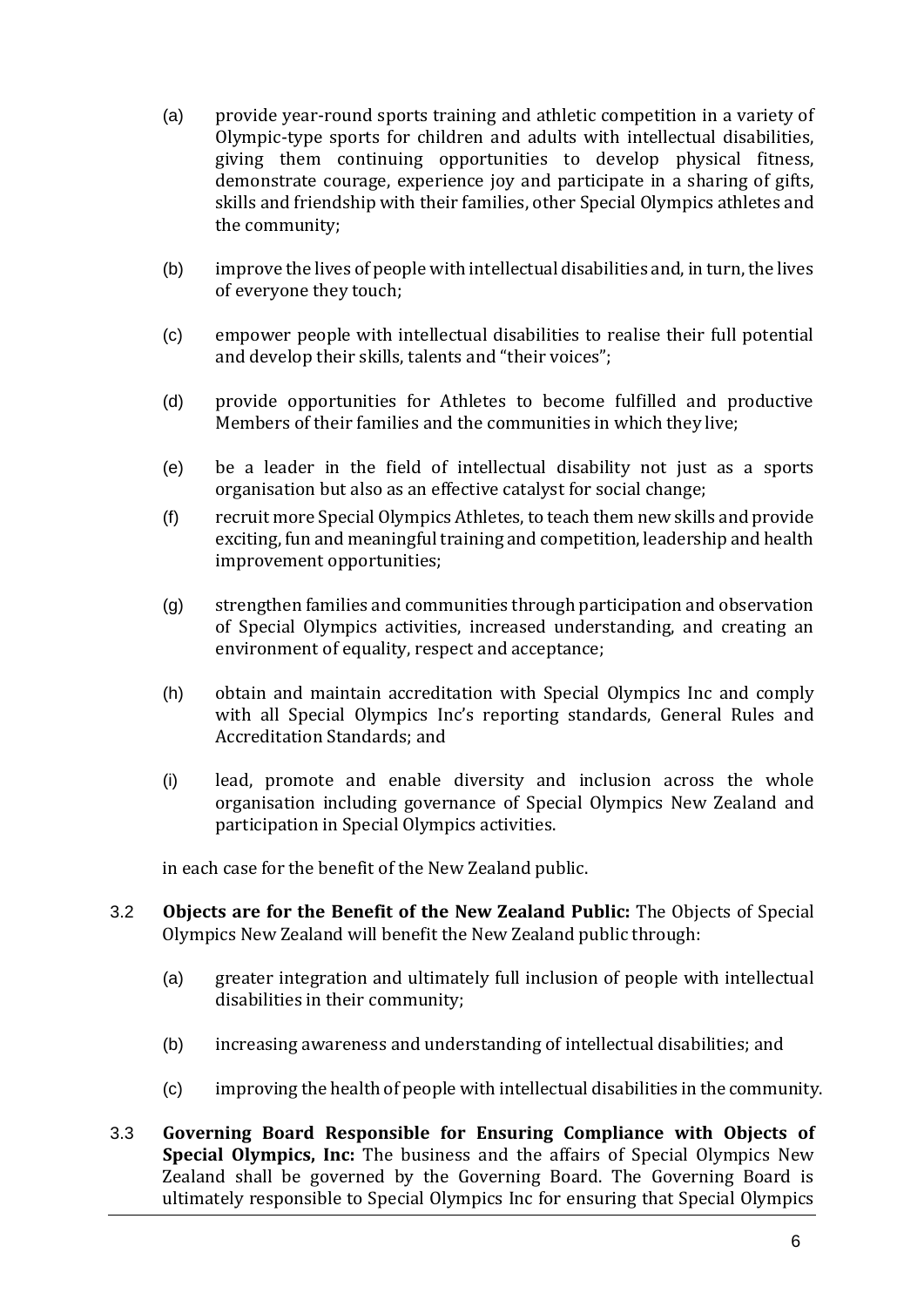- (a) provide year-round sports training and athletic competition in a variety of Olympic-type sports for children and adults with intellectual disabilities, giving them continuing opportunities to develop physical fitness, demonstrate courage, experience joy and participate in a sharing of gifts, skills and friendship with their families, other Special Olympics athletes and the community;
- (b) improve the lives of people with intellectual disabilities and, in turn, the lives of everyone they touch;
- (c) empower people with intellectual disabilities to realise their full potential and develop their skills, talents and "their voices";
- (d) provide opportunities for Athletes to become fulfilled and productive Members of their families and the communities in which they live;
- (e) be a leader in the field of intellectual disability not just as a sports organisation but also as an effective catalyst for social change;
- (f) recruit more Special Olympics Athletes, to teach them new skills and provide exciting, fun and meaningful training and competition, leadership and health improvement opportunities;
- (g) strengthen families and communities through participation and observation of Special Olympics activities, increased understanding, and creating an environment of equality, respect and acceptance;
- (h) obtain and maintain accreditation with Special Olympics Inc and comply with all Special Olympics Inc's reporting standards, General Rules and Accreditation Standards; and
- (i) lead, promote and enable diversity and inclusion across the whole organisation including governance of Special Olympics New Zealand and participation in Special Olympics activities.

in each case for the benefit of the New Zealand public.

- 3.2 **Objects are for the Benefit of the New Zealand Public:** The Objects of Special Olympics New Zealand will benefit the New Zealand public through:
	- (a) greater integration and ultimately full inclusion of people with intellectual disabilities in their community;
	- (b) increasing awareness and understanding of intellectual disabilities; and
	- (c) improving the health of people with intellectual disabilities in the community.
- 3.3 **Governing Board Responsible for Ensuring Compliance with Objects of Special Olympics, Inc:** The business and the affairs of Special Olympics New Zealand shall be governed by the Governing Board. The Governing Board is ultimately responsible to Special Olympics Inc for ensuring that Special Olympics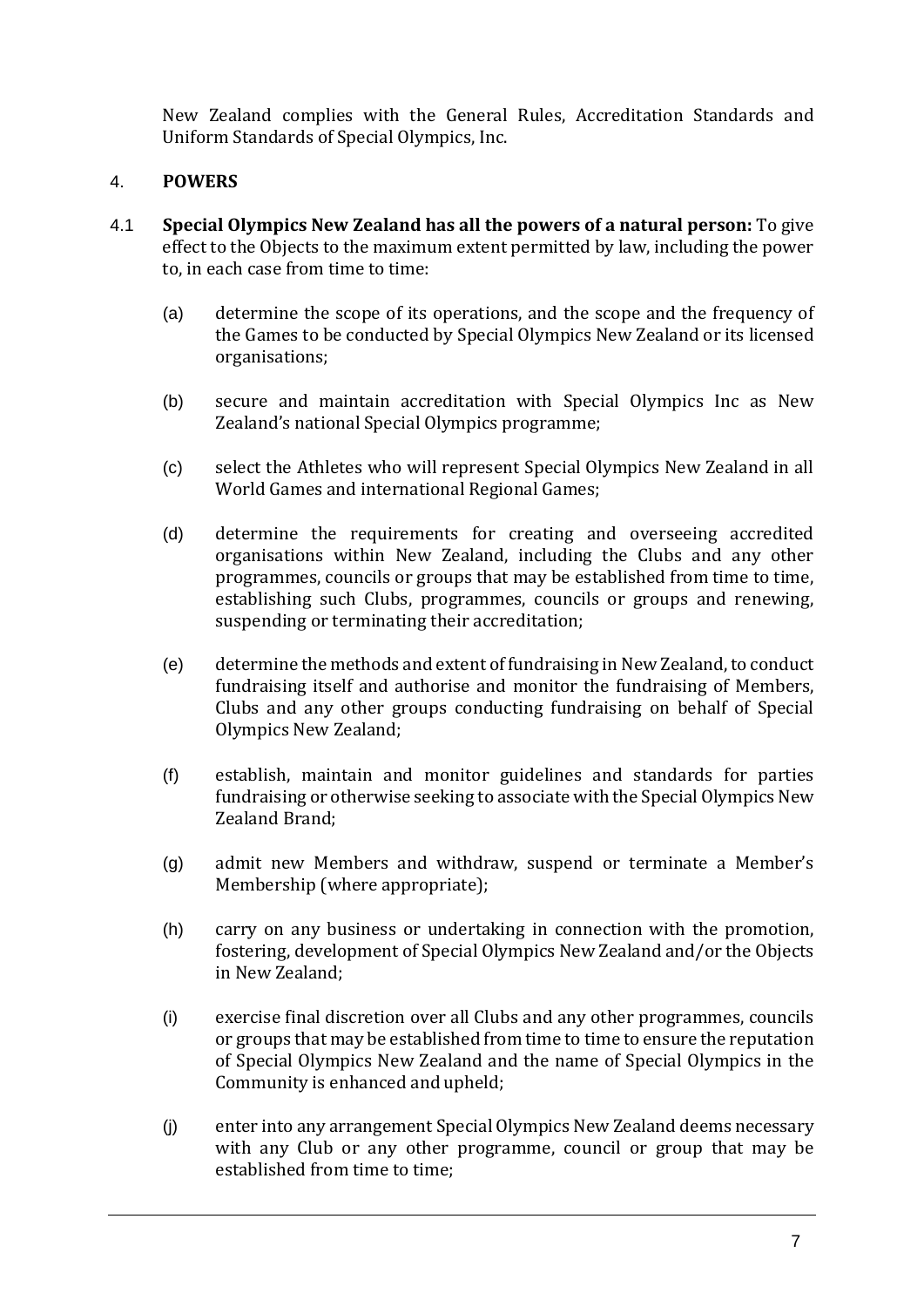New Zealand complies with the General Rules, Accreditation Standards and Uniform Standards of Special Olympics, Inc.

#### <span id="page-5-0"></span>4. **POWERS**

- 4.1 **Special Olympics New Zealand has all the powers of a natural person:** To give effect to the Objects to the maximum extent permitted by law, including the power to, in each case from time to time:
	- (a) determine the scope of its operations, and the scope and the frequency of the Games to be conducted by Special Olympics New Zealand or its licensed organisations;
	- (b) secure and maintain accreditation with Special Olympics Inc as New Zealand's national Special Olympics programme;
	- (c) select the Athletes who will represent Special Olympics New Zealand in all World Games and international Regional Games;
	- (d) determine the requirements for creating and overseeing accredited organisations within New Zealand, including the Clubs and any other programmes, councils or groups that may be established from time to time, establishing such Clubs, programmes, councils or groups and renewing, suspending or terminating their accreditation;
	- (e) determine the methods and extent of fundraising in New Zealand, to conduct fundraising itself and authorise and monitor the fundraising of Members, Clubs and any other groups conducting fundraising on behalf of Special Olympics New Zealand;
	- (f) establish, maintain and monitor guidelines and standards for parties fundraising or otherwise seeking to associate with the Special Olympics New Zealand Brand;
	- (g) admit new Members and withdraw, suspend or terminate a Member's Membership (where appropriate);
	- (h) carry on any business or undertaking in connection with the promotion, fostering, development of Special Olympics New Zealand and/or the Objects in New Zealand;
	- (i) exercise final discretion over all Clubs and any other programmes, councils or groups that may be established from time to time to ensure the reputation of Special Olympics New Zealand and the name of Special Olympics in the Community is enhanced and upheld;
	- (j) enter into any arrangement Special Olympics New Zealand deems necessary with any Club or any other programme, council or group that may be established from time to time;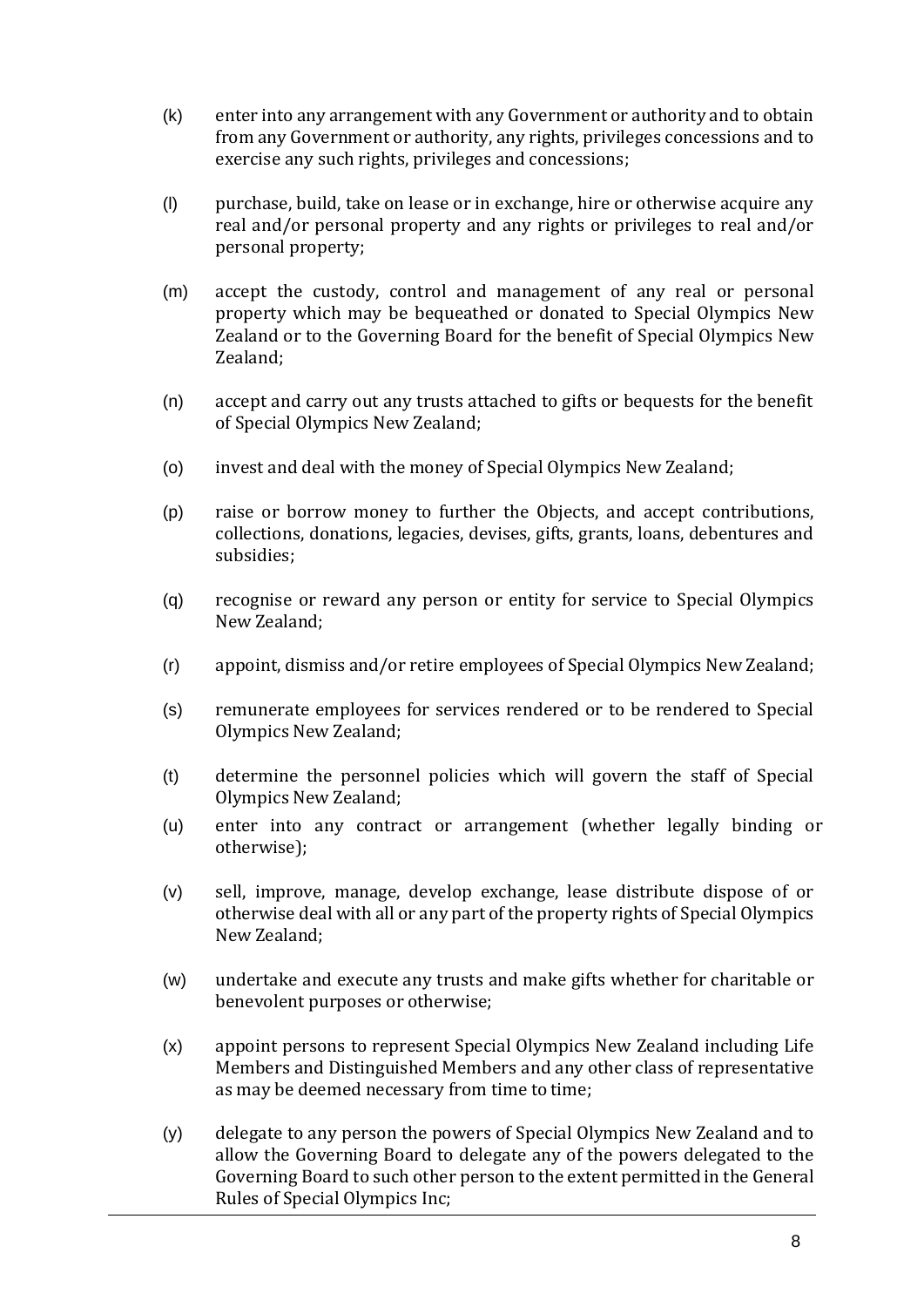- (k) enter into any arrangement with any Government or authority and to obtain from any Government or authority, any rights, privileges concessions and to exercise any such rights, privileges and concessions;
- (l) purchase, build, take on lease or in exchange, hire or otherwise acquire any real and/or personal property and any rights or privileges to real and/or personal property;
- (m) accept the custody, control and management of any real or personal property which may be bequeathed or donated to Special Olympics New Zealand or to the Governing Board for the benefit of Special Olympics New Zealand;
- (n) accept and carry out any trusts attached to gifts or bequests for the benefit of Special Olympics New Zealand;
- (o) invest and deal with the money of Special Olympics New Zealand;
- (p) raise or borrow money to further the Objects, and accept contributions, collections, donations, legacies, devises, gifts, grants, loans, debentures and subsidies;
- (q) recognise or reward any person or entity for service to Special Olympics New Zealand;
- (r) appoint, dismiss and/or retire employees of Special Olympics New Zealand;
- (s) remunerate employees for services rendered or to be rendered to Special Olympics New Zealand;
- (t) determine the personnel policies which will govern the staff of Special Olympics New Zealand;
- (u) enter into any contract or arrangement (whether legally binding or otherwise);
- (v) sell, improve, manage, develop exchange, lease distribute dispose of or otherwise deal with all or any part of the property rights of Special Olympics New Zealand;
- (w) undertake and execute any trusts and make gifts whether for charitable or benevolent purposes or otherwise;
- (x) appoint persons to represent Special Olympics New Zealand including Life Members and Distinguished Members and any other class of representative as may be deemed necessary from time to time;
- (y) delegate to any person the powers of Special Olympics New Zealand and to allow the Governing Board to delegate any of the powers delegated to the Governing Board to such other person to the extent permitted in the General Rules of Special Olympics Inc;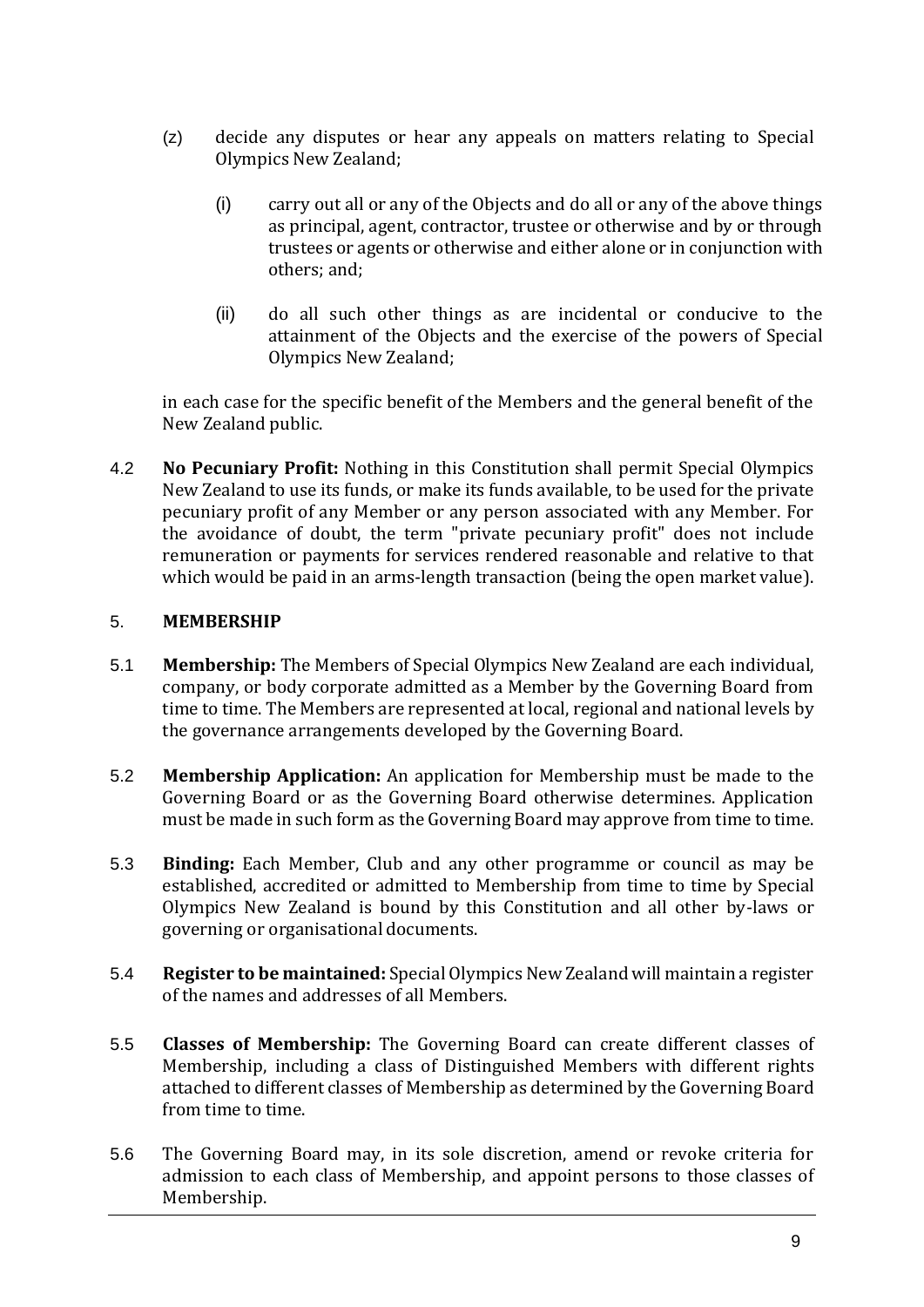- (z) decide any disputes or hear any appeals on matters relating to Special Olympics New Zealand;
	- (i) carry out all or any of the Objects and do all or any of the above things as principal, agent, contractor, trustee or otherwise and by or through trustees or agents or otherwise and either alone or in conjunction with others; and;
	- (ii) do all such other things as are incidental or conducive to the attainment of the Objects and the exercise of the powers of Special Olympics New Zealand;

in each case for the specific benefit of the Members and the general benefit of the New Zealand public.

4.2 **No Pecuniary Profit:** Nothing in this Constitution shall permit Special Olympics New Zealand to use its funds, or make its funds available, to be used for the private pecuniary profit of any Member or any person associated with any Member. For the avoidance of doubt, the term "private pecuniary profit" does not include remuneration or payments for services rendered reasonable and relative to that which would be paid in an arms-length transaction (being the open market value).

#### <span id="page-7-0"></span>5. **MEMBERSHIP**

- 5.1 **Membership:** The Members of Special Olympics New Zealand are each individual, company, or body corporate admitted as a Member by the Governing Board from time to time. The Members are represented at local, regional and national levels by the governance arrangements developed by the Governing Board.
- 5.2 **Membership Application:** An application for Membership must be made to the Governing Board or as the Governing Board otherwise determines. Application must be made in such form as the Governing Board may approve from time to time.
- 5.3 **Binding:** Each Member, Club and any other programme or council as may be established, accredited or admitted to Membership from time to time by Special Olympics New Zealand is bound by this Constitution and all other by-laws or governing or organisational documents.
- 5.4 **Register to be maintained:** Special Olympics New Zealand will maintain a register of the names and addresses of all Members.
- 5.5 **Classes of Membership:** The Governing Board can create different classes of Membership, including a class of Distinguished Members with different rights attached to different classes of Membership as determined by the Governing Board from time to time.
- 5.6 The Governing Board may, in its sole discretion, amend or revoke criteria for admission to each class of Membership, and appoint persons to those classes of Membership.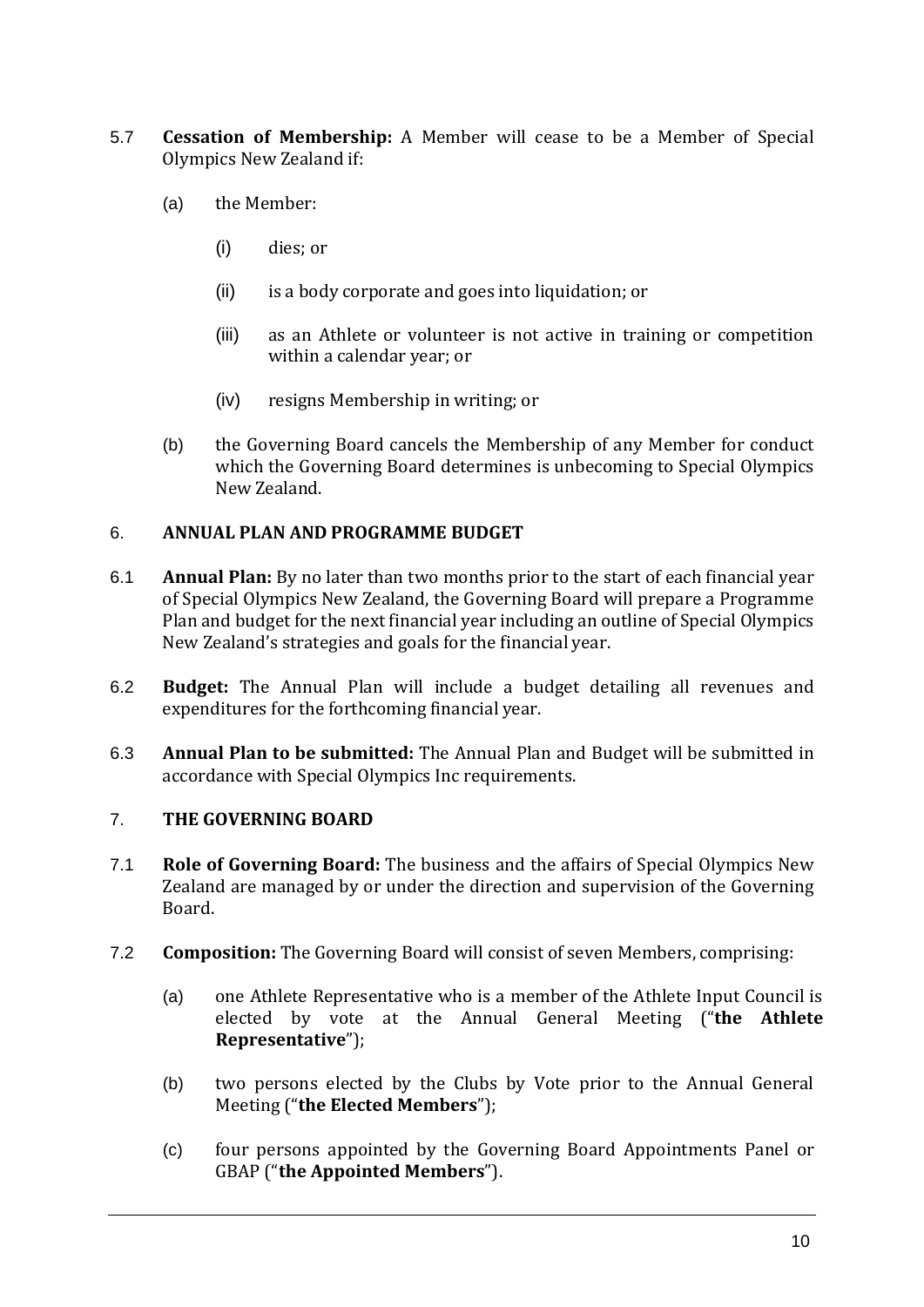- 5.7 **Cessation of Membership:** A Member will cease to be a Member of Special Olympics New Zealand if:
	- (a) the Member:
		- (i) dies; or
		- (ii) is a body corporate and goes into liquidation; or
		- (iii) as an Athlete or volunteer is not active in training or competition within a calendar year; or
		- (iv) resigns Membership in writing; or
	- (b) the Governing Board cancels the Membership of any Member for conduct which the Governing Board determines is unbecoming to Special Olympics New Zealand.

#### <span id="page-8-0"></span>6. **ANNUAL PLAN AND PROGRAMME BUDGET**

- 6.1 **Annual Plan:** By no later than two months prior to the start of each financial year of Special Olympics New Zealand, the Governing Board will prepare a Programme Plan and budget for the next financial year including an outline of Special Olympics New Zealand's strategies and goals for the financial year.
- 6.2 **Budget:** The Annual Plan will include a budget detailing all revenues and expenditures for the forthcoming financial year.
- 6.3 **Annual Plan to be submitted:** The Annual Plan and Budget will be submitted in accordance with Special Olympics Inc requirements.

#### <span id="page-8-1"></span>7. **THE GOVERNING BOARD**

- 7.1 **Role of Governing Board:** The business and the affairs of Special Olympics New Zealand are managed by or under the direction and supervision of the Governing Board.
- 7.2 **Composition:** The Governing Board will consist of seven Members, comprising:
	- (a) one Athlete Representative who is a member of the Athlete Input Council is elected by vote at the Annual General Meeting ("**the Athlete Representative**");
	- (b) two persons elected by the Clubs by Vote prior to the Annual General Meeting ("**the Elected Members**");
	- (c) four persons appointed by the Governing Board Appointments Panel or GBAP ("**the Appointed Members**").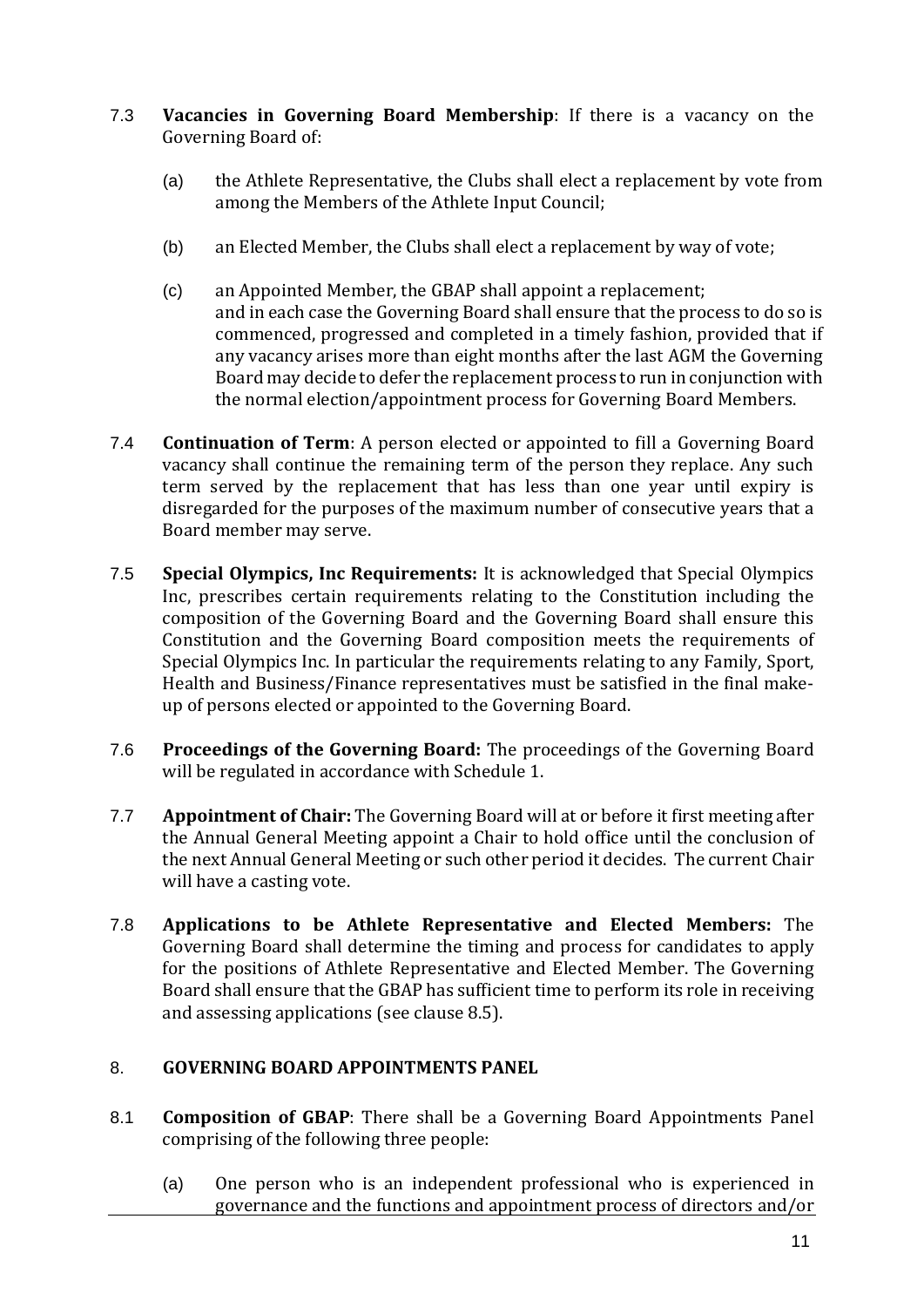- 7.3 **Vacancies in Governing Board Membership**: If there is a vacancy on the Governing Board of:
	- (a) the Athlete Representative, the Clubs shall elect a replacement by vote from among the Members of the Athlete Input Council;
	- (b) an Elected Member, the Clubs shall elect a replacement by way of vote;
	- (c) an Appointed Member, the GBAP shall appoint a replacement; and in each case the Governing Board shall ensure that the process to do so is commenced, progressed and completed in a timely fashion, provided that if any vacancy arises more than eight months after the last AGM the Governing Board may decide to defer the replacement process to run in conjunction with the normal election/appointment process for Governing Board Members.
- 7.4 **Continuation of Term**: A person elected or appointed to fill a Governing Board vacancy shall continue the remaining term of the person they replace. Any such term served by the replacement that has less than one year until expiry is disregarded for the purposes of the maximum number of consecutive years that a Board member may serve.
- 7.5 **Special Olympics, Inc Requirements:** It is acknowledged that Special Olympics Inc, prescribes certain requirements relating to the Constitution including the composition of the Governing Board and the Governing Board shall ensure this Constitution and the Governing Board composition meets the requirements of Special Olympics Inc. In particular the requirements relating to any Family, Sport, Health and Business/Finance representatives must be satisfied in the final makeup of persons elected or appointed to the Governing Board.
- 7.6 **Proceedings of the Governing Board:** The proceedings of the Governing Board will be regulated in accordance with Schedule 1.
- 7.7 **Appointment of Chair:** The Governing Board will at or before it first meeting after the Annual General Meeting appoint a Chair to hold office until the conclusion of the next Annual General Meeting or such other period it decides. The current Chair will have a casting vote.
- 7.8 **Applications to be Athlete Representative and Elected Members:** The Governing Board shall determine the timing and process for candidates to apply for the positions of Athlete Representative and Elected Member. The Governing Board shall ensure that the GBAP has sufficient time to perform its role in receiving and assessing applications (see clause 8.5).

#### <span id="page-9-0"></span>8. **GOVERNING BOARD APPOINTMENTS PANEL**

- 8.1 **Composition of GBAP**: There shall be a Governing Board Appointments Panel comprising of the following three people:
	- (a) One person who is an independent professional who is experienced in governance and the functions and appointment process of directors and/or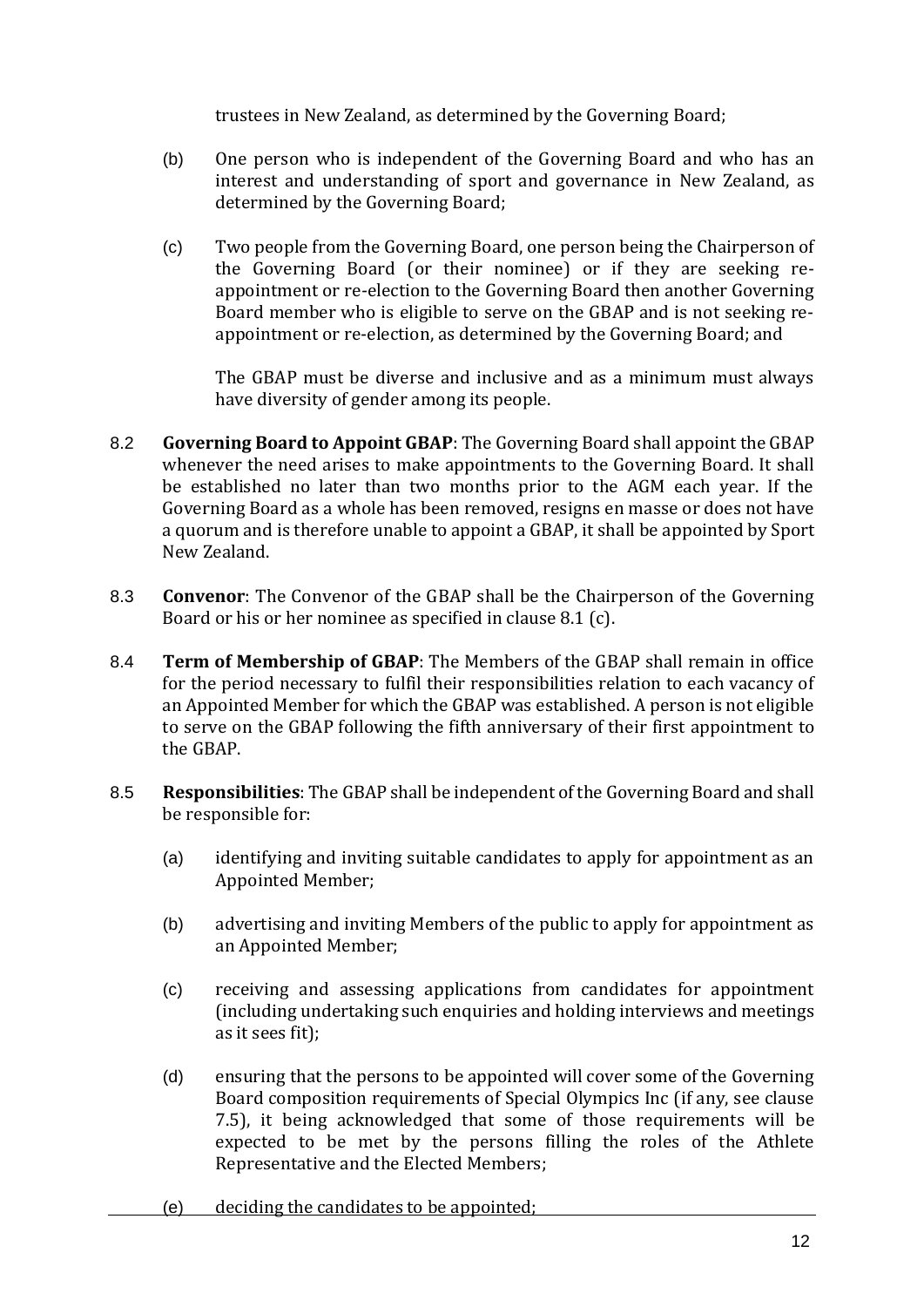trustees in New Zealand, as determined by the Governing Board;

- (b) One person who is independent of the Governing Board and who has an interest and understanding of sport and governance in New Zealand, as determined by the Governing Board;
- (c) Two people from the Governing Board, one person being the Chairperson of the Governing Board (or their nominee) or if they are seeking reappointment or re-election to the Governing Board then another Governing Board member who is eligible to serve on the GBAP and is not seeking reappointment or re-election, as determined by the Governing Board; and

The GBAP must be diverse and inclusive and as a minimum must always have diversity of gender among its people.

- 8.2 **Governing Board to Appoint GBAP**: The Governing Board shall appoint the GBAP whenever the need arises to make appointments to the Governing Board. It shall be established no later than two months prior to the AGM each year. If the Governing Board as a whole has been removed, resigns en masse or does not have a quorum and is therefore unable to appoint a GBAP, it shall be appointed by Sport New Zealand.
- 8.3 **Convenor**: The Convenor of the GBAP shall be the Chairperson of the Governing Board or his or her nominee as specified in clause 8.1 (c).
- 8.4 **Term of Membership of GBAP**: The Members of the GBAP shall remain in office for the period necessary to fulfil their responsibilities relation to each vacancy of an Appointed Member for which the GBAP was established. A person is not eligible to serve on the GBAP following the fifth anniversary of their first appointment to the GBAP.
- 8.5 **Responsibilities**: The GBAP shall be independent of the Governing Board and shall be responsible for:
	- (a) identifying and inviting suitable candidates to apply for appointment as an Appointed Member;
	- (b) advertising and inviting Members of the public to apply for appointment as an Appointed Member;
	- (c) receiving and assessing applications from candidates for appointment (including undertaking such enquiries and holding interviews and meetings as it sees fit);
	- (d) ensuring that the persons to be appointed will cover some of the Governing Board composition requirements of Special Olympics Inc (if any, see clause 7.5), it being acknowledged that some of those requirements will be expected to be met by the persons filling the roles of the Athlete Representative and the Elected Members;
	- (e) deciding the candidates to be appointed;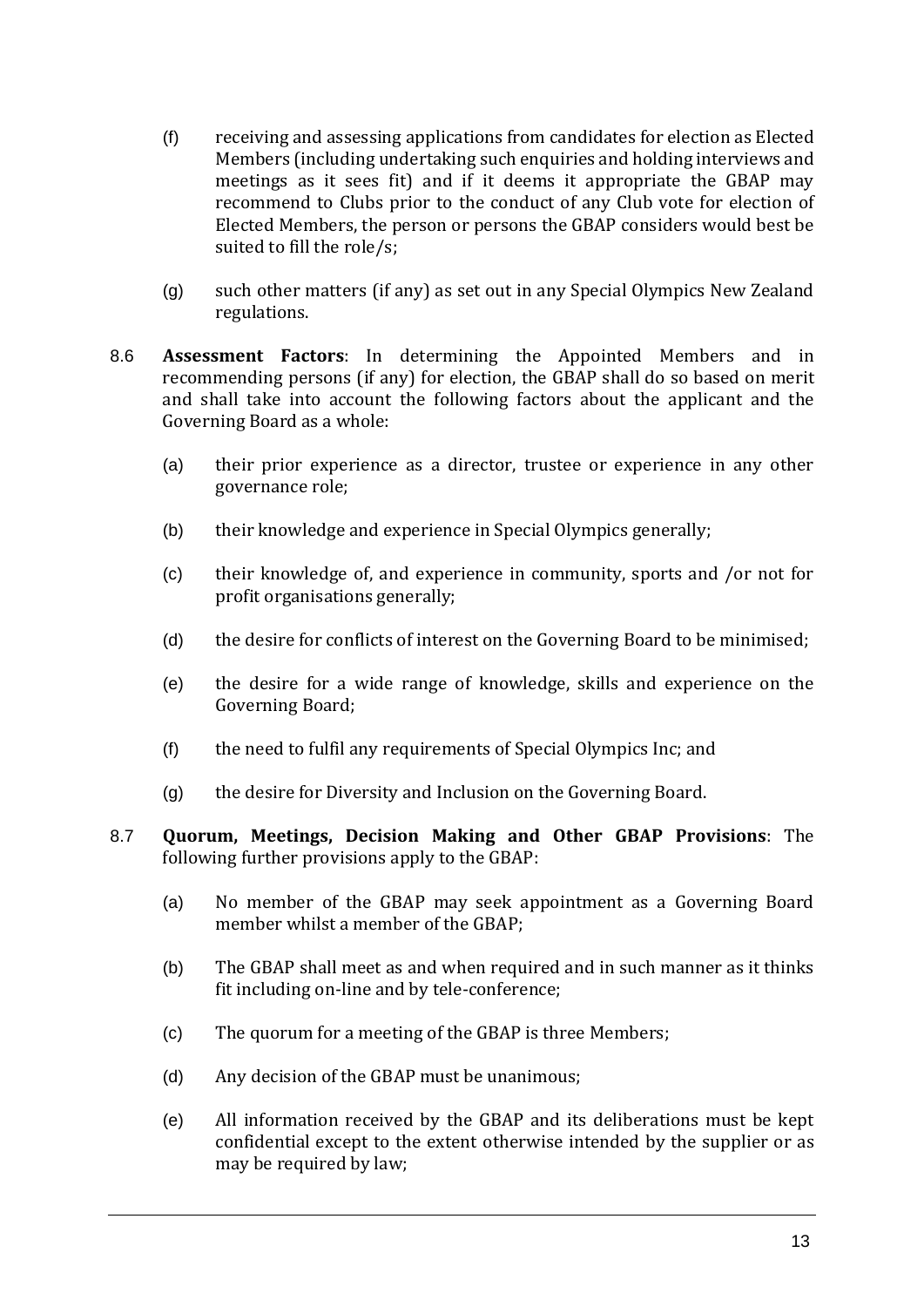- (f) receiving and assessing applications from candidates for election as Elected Members (including undertaking such enquiries and holding interviews and meetings as it sees fit) and if it deems it appropriate the GBAP may recommend to Clubs prior to the conduct of any Club vote for election of Elected Members, the person or persons the GBAP considers would best be suited to fill the role/s;
- (g) such other matters (if any) as set out in any Special Olympics New Zealand regulations.
- 8.6 **Assessment Factors**: In determining the Appointed Members and in recommending persons (if any) for election, the GBAP shall do so based on merit and shall take into account the following factors about the applicant and the Governing Board as a whole:
	- (a) their prior experience as a director, trustee or experience in any other governance role;
	- (b) their knowledge and experience in Special Olympics generally;
	- (c) their knowledge of, and experience in community, sports and /or not for profit organisations generally;
	- (d) the desire for conflicts of interest on the Governing Board to be minimised;
	- (e) the desire for a wide range of knowledge, skills and experience on the Governing Board;
	- (f) the need to fulfil any requirements of Special Olympics Inc; and
	- (g) the desire for Diversity and Inclusion on the Governing Board.
- 8.7 **Quorum, Meetings, Decision Making and Other GBAP Provisions**: The following further provisions apply to the GBAP:
	- (a) No member of the GBAP may seek appointment as a Governing Board member whilst a member of the GBAP;
	- (b) The GBAP shall meet as and when required and in such manner as it thinks fit including on-line and by tele-conference;
	- (c) The quorum for a meeting of the GBAP is three Members;
	- (d) Any decision of the GBAP must be unanimous;
	- (e) All information received by the GBAP and its deliberations must be kept confidential except to the extent otherwise intended by the supplier or as may be required by law;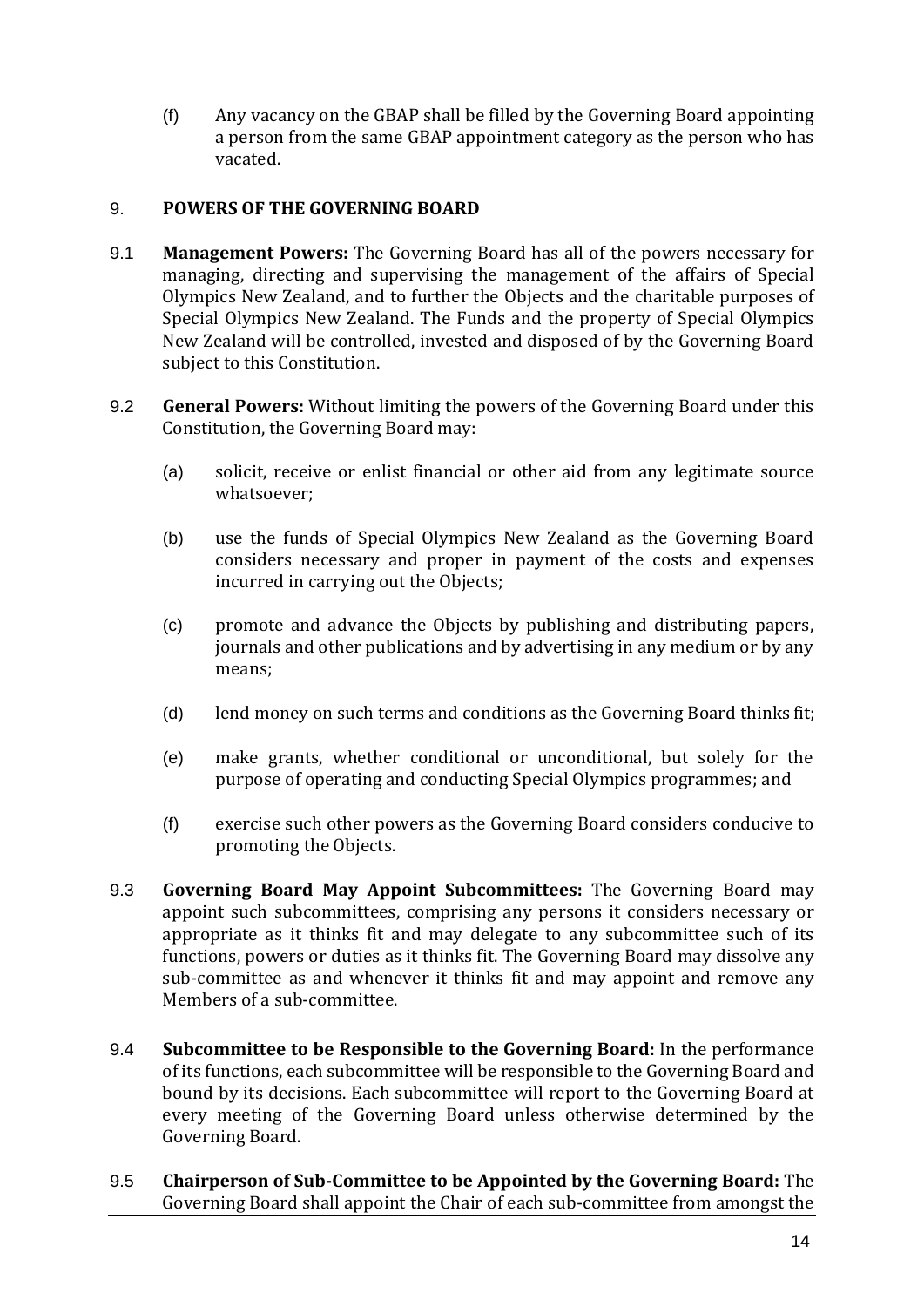(f) Any vacancy on the GBAP shall be filled by the Governing Board appointing a person from the same GBAP appointment category as the person who has vacated.

#### <span id="page-12-0"></span>9. **POWERS OF THE GOVERNING BOARD**

- 9.1 **Management Powers:** The Governing Board has all of the powers necessary for managing, directing and supervising the management of the affairs of Special Olympics New Zealand, and to further the Objects and the charitable purposes of Special Olympics New Zealand. The Funds and the property of Special Olympics New Zealand will be controlled, invested and disposed of by the Governing Board subject to this Constitution.
- 9.2 **General Powers:** Without limiting the powers of the Governing Board under this Constitution, the Governing Board may:
	- (a) solicit, receive or enlist financial or other aid from any legitimate source whatsoever;
	- (b) use the funds of Special Olympics New Zealand as the Governing Board considers necessary and proper in payment of the costs and expenses incurred in carrying out the Objects;
	- (c) promote and advance the Objects by publishing and distributing papers, journals and other publications and by advertising in any medium or by any means;
	- (d) lend money on such terms and conditions as the Governing Board thinks fit;
	- (e) make grants, whether conditional or unconditional, but solely for the purpose of operating and conducting Special Olympics programmes; and
	- (f) exercise such other powers as the Governing Board considers conducive to promoting the Objects.
- 9.3 **Governing Board May Appoint Subcommittees:** The Governing Board may appoint such subcommittees, comprising any persons it considers necessary or appropriate as it thinks fit and may delegate to any subcommittee such of its functions, powers or duties as it thinks fit. The Governing Board may dissolve any sub-committee as and whenever it thinks fit and may appoint and remove any Members of a sub-committee.
- 9.4 **Subcommittee to be Responsible to the Governing Board:** In the performance of its functions, each subcommittee will be responsible to the Governing Board and bound by its decisions. Each subcommittee will report to the Governing Board at every meeting of the Governing Board unless otherwise determined by the Governing Board.
- 9.5 **Chairperson of Sub-Committee to be Appointed by the Governing Board:** The Governing Board shall appoint the Chair of each sub-committee from amongst the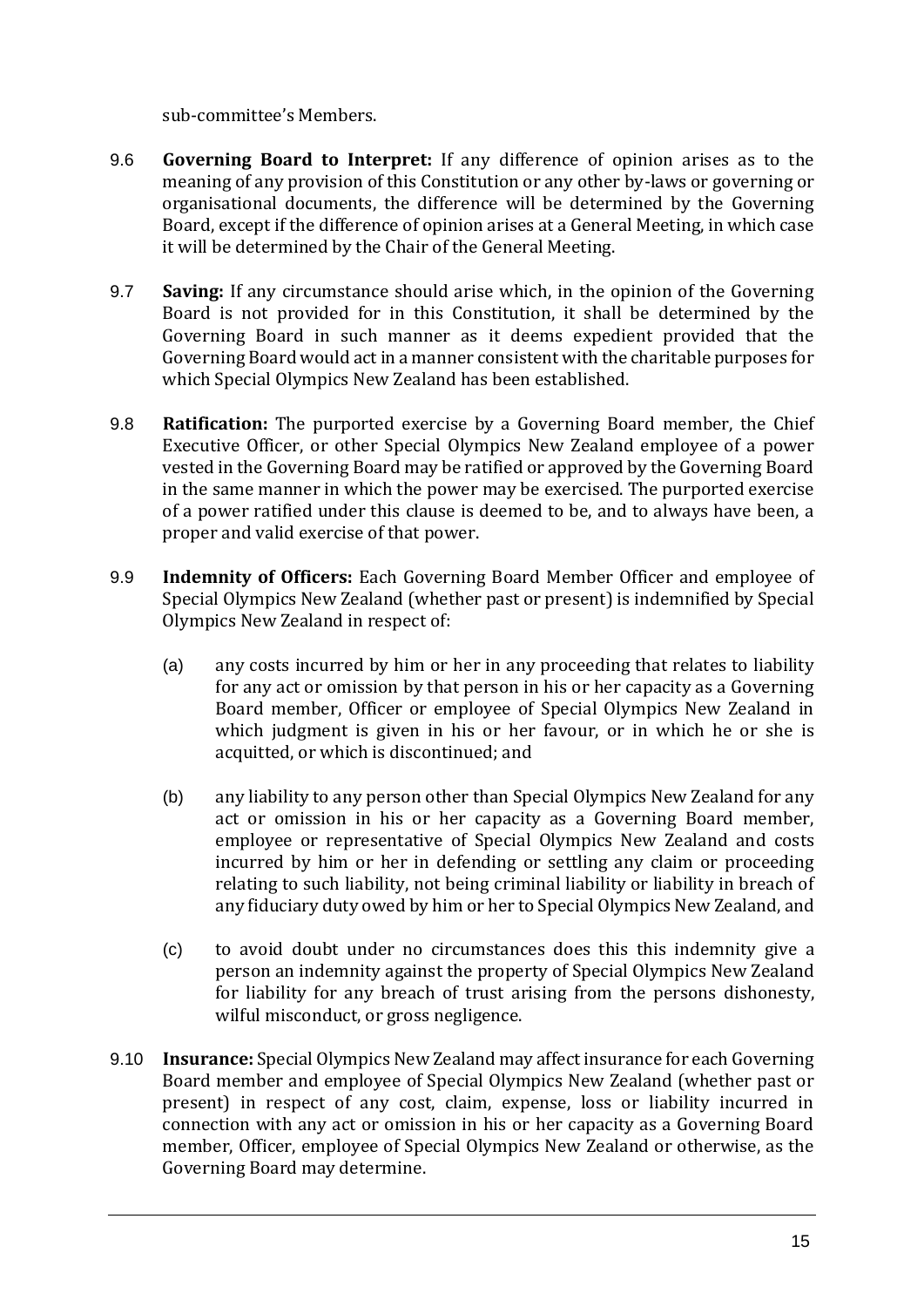sub-committee's Members.

- 9.6 **Governing Board to Interpret:** If any difference of opinion arises as to the meaning of any provision of this Constitution or any other by-laws or governing or organisational documents, the difference will be determined by the Governing Board, except if the difference of opinion arises at a General Meeting, in which case it will be determined by the Chair of the General Meeting.
- 9.7 **Saving:** If any circumstance should arise which, in the opinion of the Governing Board is not provided for in this Constitution, it shall be determined by the Governing Board in such manner as it deems expedient provided that the Governing Board would act in a manner consistent with the charitable purposes for which Special Olympics New Zealand has been established.
- 9.8 **Ratification:** The purported exercise by a Governing Board member, the Chief Executive Officer, or other Special Olympics New Zealand employee of a power vested in the Governing Board may be ratified or approved by the Governing Board in the same manner in which the power may be exercised. The purported exercise of a power ratified under this clause is deemed to be, and to always have been, a proper and valid exercise of that power.
- 9.9 **Indemnity of Officers:** Each Governing Board Member Officer and employee of Special Olympics New Zealand (whether past or present) is indemnified by Special Olympics New Zealand in respect of:
	- (a) any costs incurred by him or her in any proceeding that relates to liability for any act or omission by that person in his or her capacity as a Governing Board member, Officer or employee of Special Olympics New Zealand in which judgment is given in his or her favour, or in which he or she is acquitted, or which is discontinued; and
	- (b) any liability to any person other than Special Olympics New Zealand for any act or omission in his or her capacity as a Governing Board member, employee or representative of Special Olympics New Zealand and costs incurred by him or her in defending or settling any claim or proceeding relating to such liability, not being criminal liability or liability in breach of any fiduciary duty owed by him or her to Special Olympics New Zealand, and
	- (c) to avoid doubt under no circumstances does this this indemnity give a person an indemnity against the property of Special Olympics New Zealand for liability for any breach of trust arising from the persons dishonesty, wilful misconduct, or gross negligence.
- 9.10 **Insurance:** Special Olympics New Zealand may affect insurance for each Governing Board member and employee of Special Olympics New Zealand (whether past or present) in respect of any cost, claim, expense, loss or liability incurred in connection with any act or omission in his or her capacity as a Governing Board member, Officer, employee of Special Olympics New Zealand or otherwise, as the Governing Board may determine.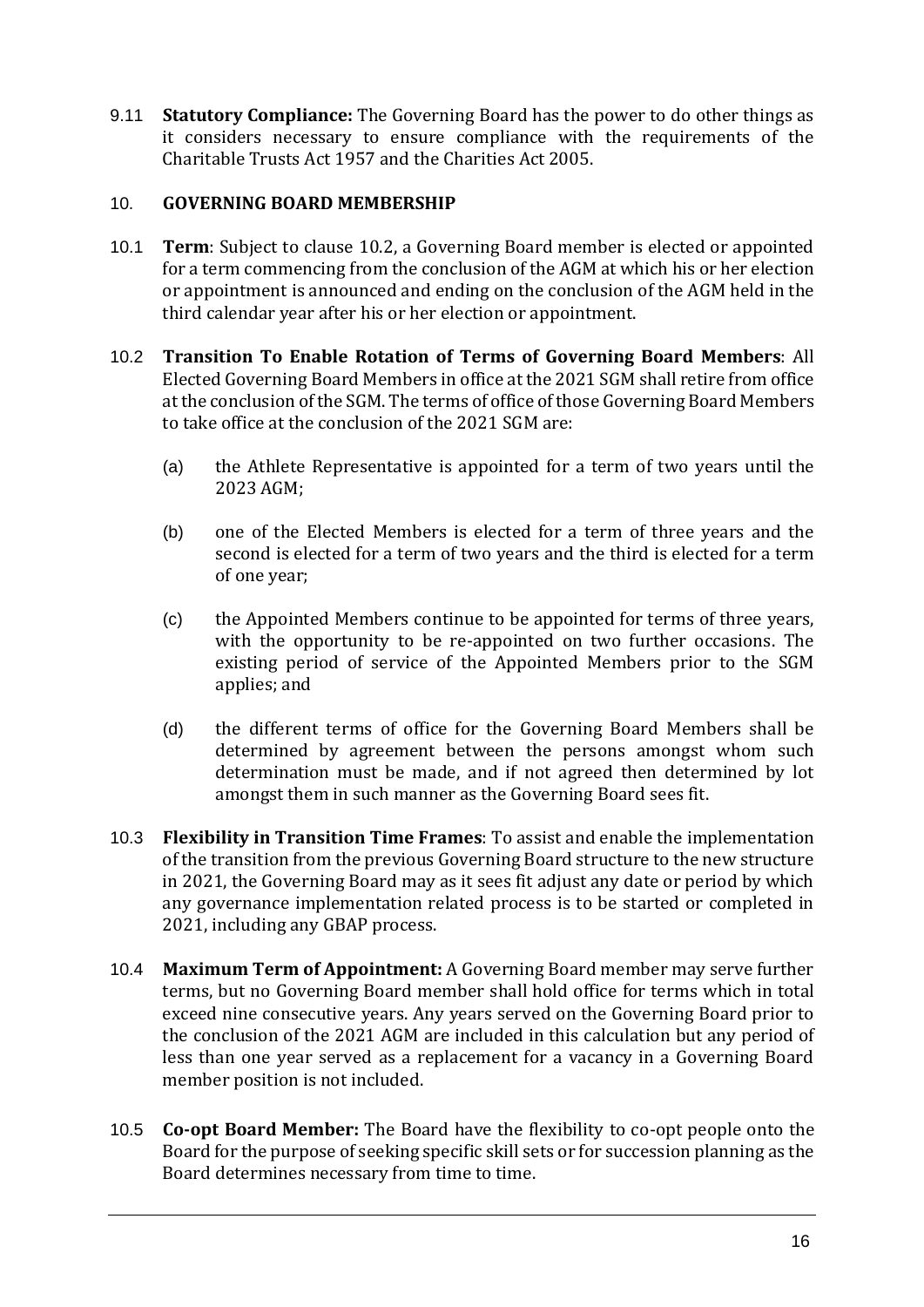9.11 **Statutory Compliance:** The Governing Board has the power to do other things as it considers necessary to ensure compliance with the requirements of the Charitable Trusts Act 1957 and the Charities Act 2005.

#### <span id="page-14-0"></span>10. **GOVERNING BOARD MEMBERSHIP**

- 10.1 **Term**: Subject to clause 10.2, a Governing Board member is elected or appointed for a term commencing from the conclusion of the AGM at which his or her election or appointment is announced and ending on the conclusion of the AGM held in the third calendar year after his or her election or appointment.
- 10.2 **Transition To Enable Rotation of Terms of Governing Board Members**: All Elected Governing Board Members in office at the 2021 SGM shall retire from office at the conclusion of the SGM. The terms of office of those Governing Board Members to take office at the conclusion of the 2021 SGM are:
	- (a) the Athlete Representative is appointed for a term of two years until the 2023 AGM;
	- (b) one of the Elected Members is elected for a term of three years and the second is elected for a term of two years and the third is elected for a term of one year;
	- (c) the Appointed Members continue to be appointed for terms of three years, with the opportunity to be re-appointed on two further occasions. The existing period of service of the Appointed Members prior to the SGM applies; and
	- (d) the different terms of office for the Governing Board Members shall be determined by agreement between the persons amongst whom such determination must be made, and if not agreed then determined by lot amongst them in such manner as the Governing Board sees fit.
- 10.3 **Flexibility in Transition Time Frames**: To assist and enable the implementation of the transition from the previous Governing Board structure to the new structure in 2021, the Governing Board may as it sees fit adjust any date or period by which any governance implementation related process is to be started or completed in 2021, including any GBAP process.
- 10.4 **Maximum Term of Appointment:** A Governing Board member may serve further terms, but no Governing Board member shall hold office for terms which in total exceed nine consecutive years. Any years served on the Governing Board prior to the conclusion of the 2021 AGM are included in this calculation but any period of less than one year served as a replacement for a vacancy in a Governing Board member position is not included.
- 10.5 **Co-opt Board Member:** The Board have the flexibility to co-opt people onto the Board for the purpose of seeking specific skill sets or for succession planning as the Board determines necessary from time to time.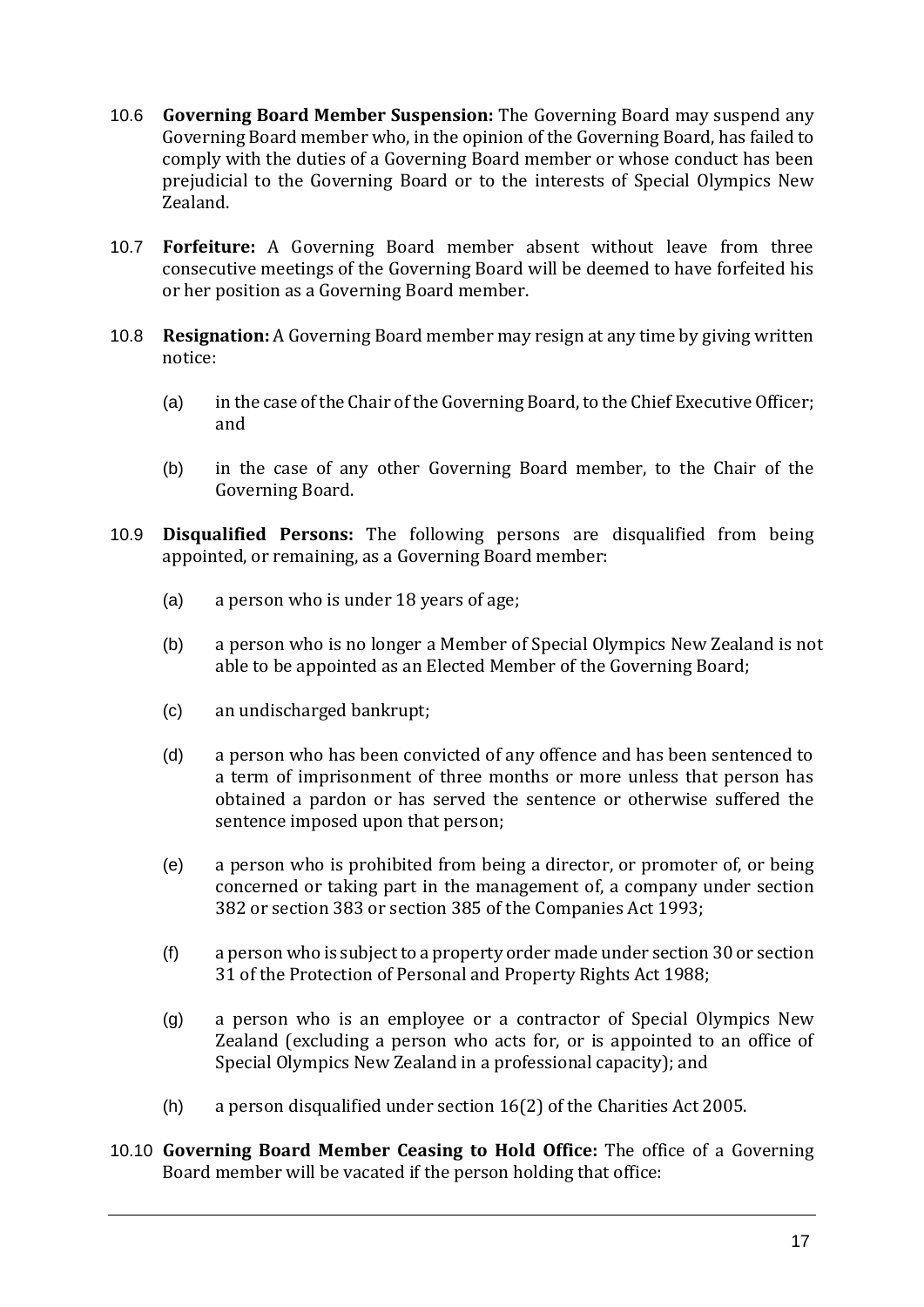- 10.6 **Governing Board Member Suspension:** The Governing Board may suspend any Governing Board member who, in the opinion of the Governing Board, has failed to comply with the duties of a Governing Board member or whose conduct has been prejudicial to the Governing Board or to the interests of Special Olympics New Zealand.
- 10.7 **Forfeiture:** A Governing Board member absent without leave from three consecutive meetings of the Governing Board will be deemed to have forfeited his or her position as a Governing Board member.
- 10.8 **Resignation:** A Governing Board member may resign at any time by giving written notice:
	- (a) in the case of the Chair of the Governing Board, to the Chief Executive Officer; and
	- (b) in the case of any other Governing Board member, to the Chair of the Governing Board.
- 10.9 **Disqualified Persons:** The following persons are disqualified from being appointed, or remaining, as a Governing Board member:
	- (a) a person who is under 18 years of age;
	- (b) a person who is no longer a Member of Special Olympics New Zealand is not able to be appointed as an Elected Member of the Governing Board;
	- (c) an undischarged bankrupt;
	- (d) a person who has been convicted of any offence and has been sentenced to a term of imprisonment of three months or more unless that person has obtained a pardon or has served the sentence or otherwise suffered the sentence imposed upon that person;
	- (e) a person who is prohibited from being a director, or promoter of, or being concerned or taking part in the management of, a company under section 382 or section 383 or section 385 of the Companies Act 1993;
	- (f) a person who is subject to a property order made under section 30 or section 31 of the Protection of Personal and Property Rights Act 1988;
	- (g) a person who is an employee or a contractor of Special Olympics New Zealand (excluding a person who acts for, or is appointed to an office of Special Olympics New Zealand in a professional capacity); and
	- (h) a person disqualified under section 16(2) of the Charities Act 2005.
- 10.10 **Governing Board Member Ceasing to Hold Office:** The office of a Governing Board member will be vacated if the person holding that office: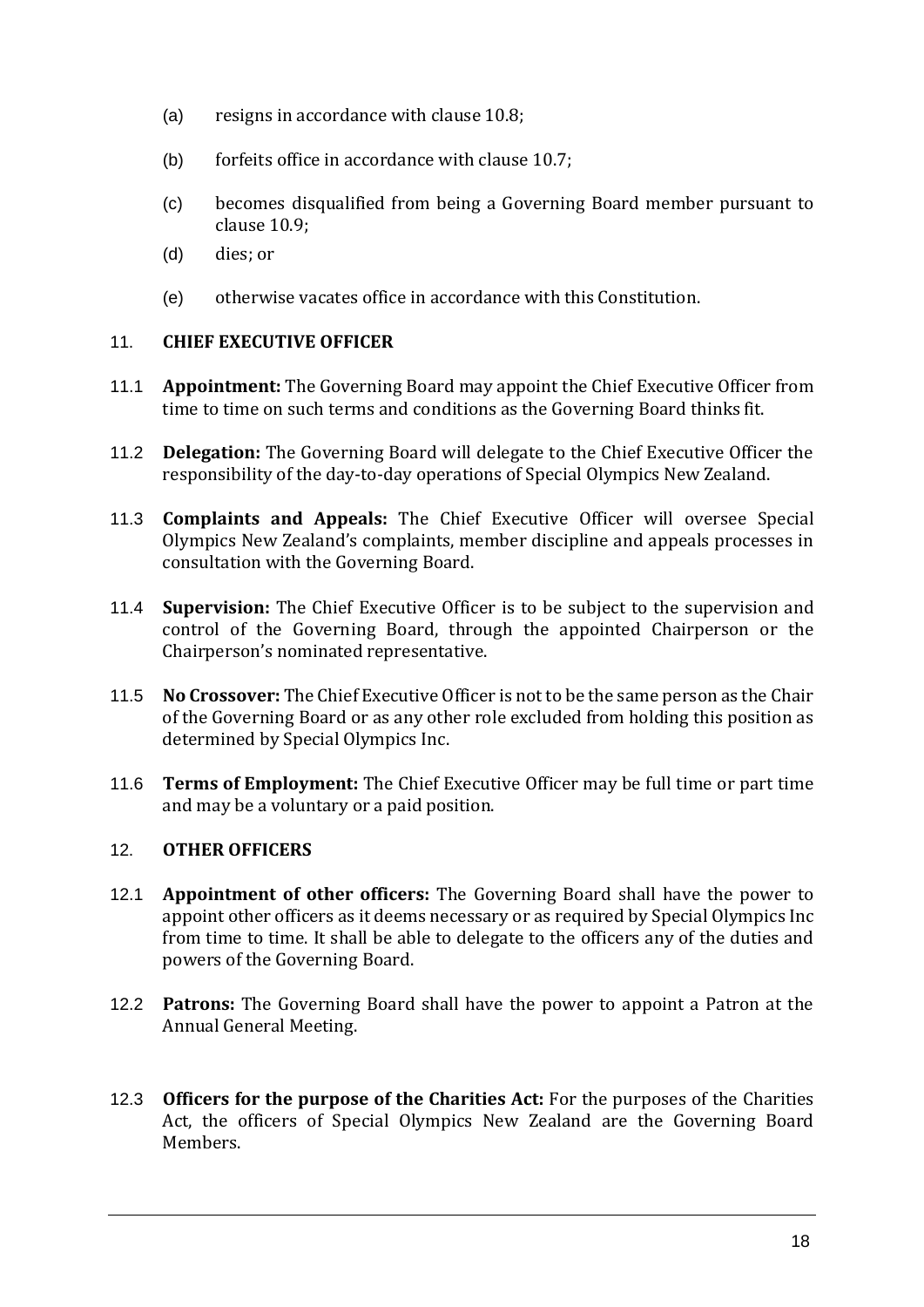- (a) resigns in accordance with clause 10.8;
- (b) forfeits office in accordance with clause 10.7;
- (c) becomes disqualified from being a Governing Board member pursuant to clause 10.9;
- (d) dies; or
- (e) otherwise vacates office in accordance with this Constitution.

#### <span id="page-16-0"></span>11. **CHIEF EXECUTIVE OFFICER**

- 11.1 **Appointment:** The Governing Board may appoint the Chief Executive Officer from time to time on such terms and conditions as the Governing Board thinks fit.
- 11.2 **Delegation:** The Governing Board will delegate to the Chief Executive Officer the responsibility of the day-to-day operations of Special Olympics New Zealand.
- 11.3 **Complaints and Appeals:** The Chief Executive Officer will oversee Special Olympics New Zealand's complaints, member discipline and appeals processes in consultation with the Governing Board.
- 11.4 **Supervision:** The Chief Executive Officer is to be subject to the supervision and control of the Governing Board, through the appointed Chairperson or the Chairperson's nominated representative.
- 11.5 **No Crossover:** The Chief Executive Officer is not to be the same person as the Chair of the Governing Board or as any other role excluded from holding this position as determined by Special Olympics Inc.
- 11.6 **Terms of Employment:** The Chief Executive Officer may be full time or part time and may be a voluntary or a paid position.

#### <span id="page-16-1"></span>12. **OTHER OFFICERS**

- 12.1 **Appointment of other officers:** The Governing Board shall have the power to appoint other officers as it deems necessary or as required by Special Olympics Inc from time to time. It shall be able to delegate to the officers any of the duties and powers of the Governing Board.
- 12.2 **Patrons:** The Governing Board shall have the power to appoint a Patron at the Annual General Meeting.
- 12.3 **Officers for the purpose of the Charities Act:** For the purposes of the Charities Act, the officers of Special Olympics New Zealand are the Governing Board Members.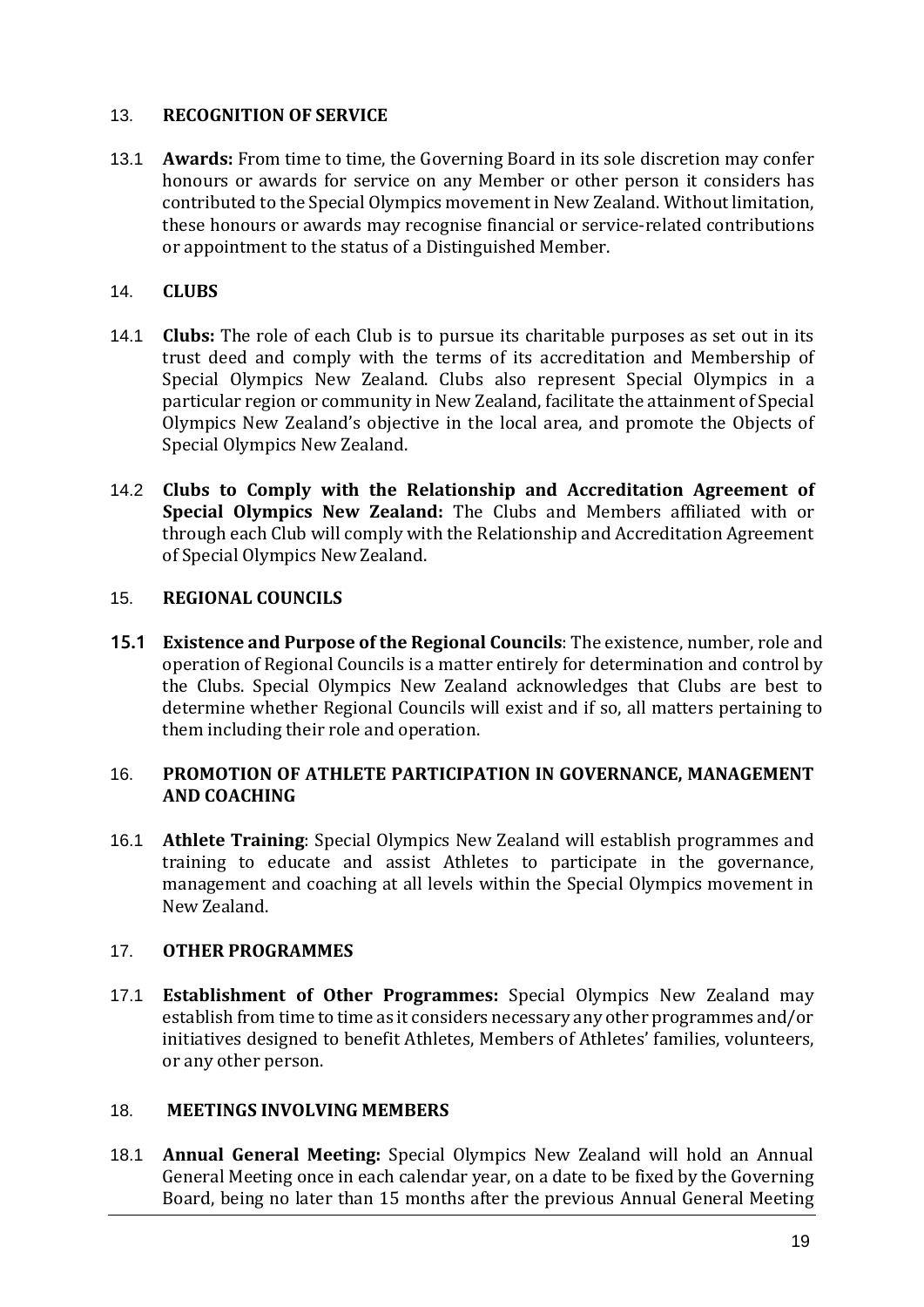#### <span id="page-17-0"></span>13. **RECOGNITION OF SERVICE**

13.1 **Awards:** From time to time, the Governing Board in its sole discretion may confer honours or awards for service on any Member or other person it considers has contributed to the Special Olympics movement in New Zealand. Without limitation, these honours or awards may recognise financial or service-related contributions or appointment to the status of a Distinguished Member.

#### <span id="page-17-1"></span>14. **CLUBS**

- 14.1 **Clubs:** The role of each Club is to pursue its charitable purposes as set out in its trust deed and comply with the terms of its accreditation and Membership of Special Olympics New Zealand. Clubs also represent Special Olympics in a particular region or community in New Zealand, facilitate the attainment of Special Olympics New Zealand's objective in the local area, and promote the Objects of Special Olympics New Zealand.
- 14.2 **Clubs to Comply with the Relationship and Accreditation Agreement of Special Olympics New Zealand:** The Clubs and Members affiliated with or through each Club will comply with the Relationship and Accreditation Agreement of Special Olympics New Zealand.

#### <span id="page-17-2"></span>15. **REGIONAL COUNCILS**

15.1 **Existence and Purpose of the Regional Councils**: The existence, number, role and operation of Regional Councils is a matter entirely for determination and control by the Clubs. Special Olympics New Zealand acknowledges that Clubs are best to determine whether Regional Councils will exist and if so, all matters pertaining to them including their role and operation.

#### <span id="page-17-3"></span>16. **PROMOTION OF ATHLETE PARTICIPATION IN GOVERNANCE, MANAGEMENT AND COACHING**

16.1 **Athlete Training**: Special Olympics New Zealand will establish programmes and training to educate and assist Athletes to participate in the governance, management and coaching at all levels within the Special Olympics movement in New Zealand.

#### <span id="page-17-4"></span>17. **OTHER PROGRAMMES**

17.1 **Establishment of Other Programmes:** Special Olympics New Zealand may establish from time to time as it considers necessary any other programmes and/or initiatives designed to benefit Athletes, Members of Athletes' families, volunteers, or any other person.

#### 18. **MEETINGS INVOLVING MEMBERS**

18.1 **Annual General Meeting:** Special Olympics New Zealand will hold an Annual General Meeting once in each calendar year, on a date to be fixed by the Governing Board, being no later than 15 months after the previous Annual General Meeting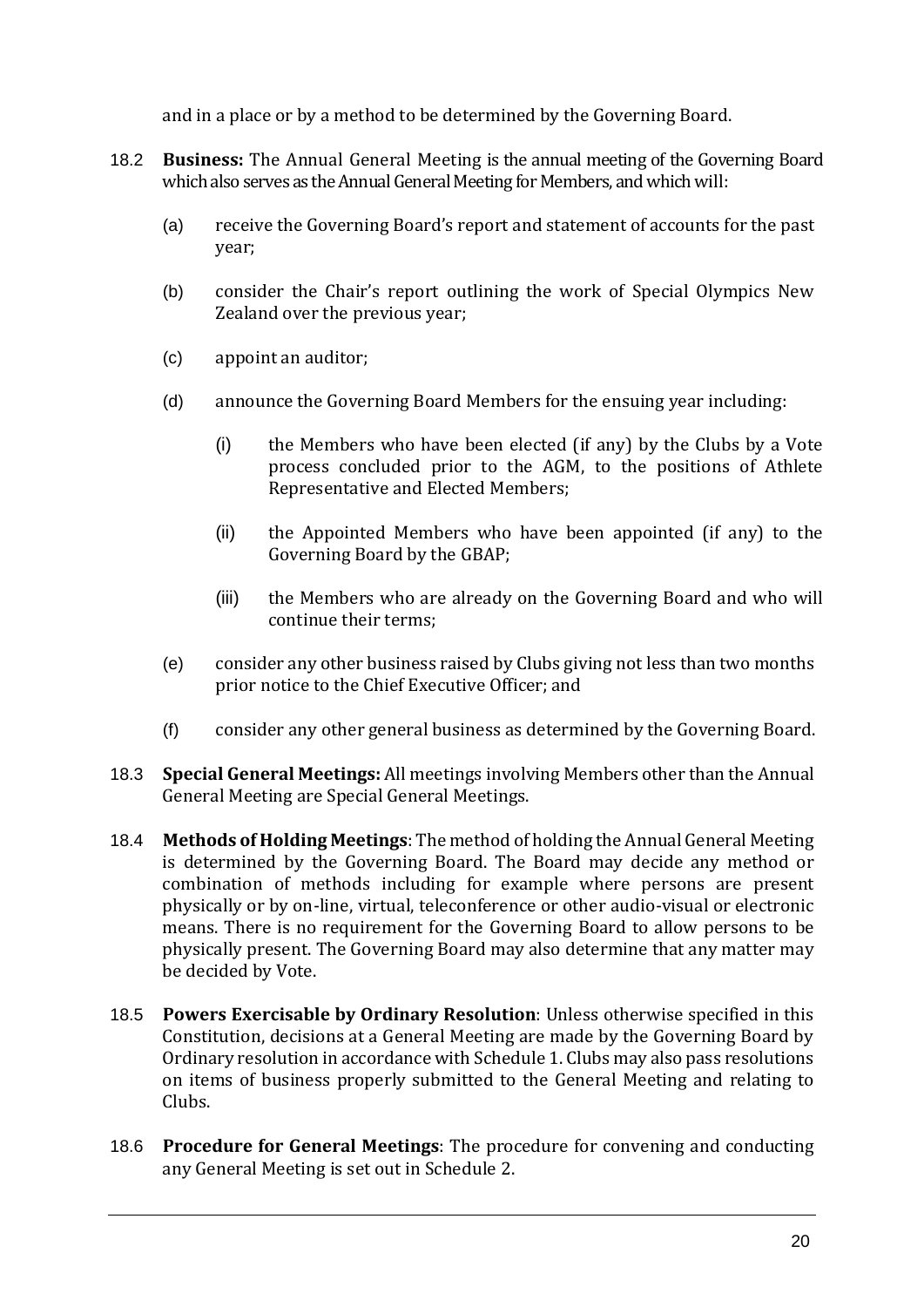and in a place or by a method to be determined by the Governing Board.

- 18.2 **Business:** The Annual General Meeting is the annual meeting of the Governing Board which also serves as the Annual General Meeting for Members, and which will:
	- (a) receive the Governing Board's report and statement of accounts for the past year;
	- (b) consider the Chair's report outlining the work of Special Olympics New Zealand over the previous year;
	- (c) appoint an auditor;
	- (d) announce the Governing Board Members for the ensuing year including:
		- (i) the Members who have been elected (if any) by the Clubs by a Vote process concluded prior to the AGM, to the positions of Athlete Representative and Elected Members;
		- (ii) the Appointed Members who have been appointed (if any) to the Governing Board by the GBAP;
		- (iii) the Members who are already on the Governing Board and who will continue their terms;
	- (e) consider any other business raised by Clubs giving not less than two months prior notice to the Chief Executive Officer; and
	- (f) consider any other general business as determined by the Governing Board.
- 18.3 **Special General Meetings:** All meetings involving Members other than the Annual General Meeting are Special General Meetings.
- 18.4 **Methods of Holding Meetings**: The method of holding the Annual General Meeting is determined by the Governing Board. The Board may decide any method or combination of methods including for example where persons are present physically or by on-line, virtual, teleconference or other audio-visual or electronic means. There is no requirement for the Governing Board to allow persons to be physically present. The Governing Board may also determine that any matter may be decided by Vote.
- 18.5 **Powers Exercisable by Ordinary Resolution**: Unless otherwise specified in this Constitution, decisions at a General Meeting are made by the Governing Board by Ordinary resolution in accordance with Schedule 1. Clubs may also pass resolutions on items of business properly submitted to the General Meeting and relating to Clubs.
- 18.6 **Procedure for General Meetings**: The procedure for convening and conducting any General Meeting is set out in Schedule 2.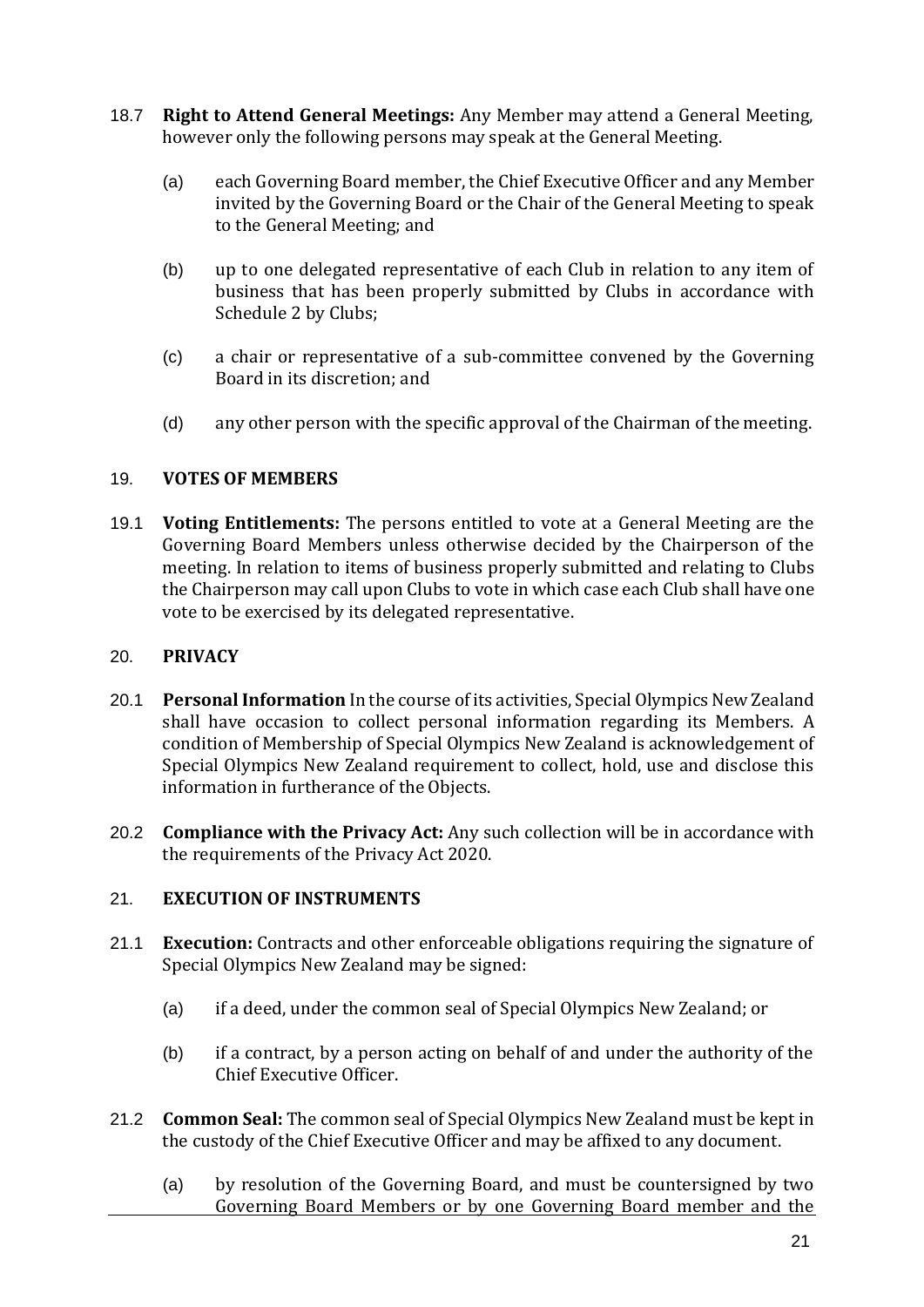- 18.7 **Right to Attend General Meetings:** Any Member may attend a General Meeting, however only the following persons may speak at the General Meeting.
	- (a) each Governing Board member, the Chief Executive Officer and any Member invited by the Governing Board or the Chair of the General Meeting to speak to the General Meeting; and
	- (b) up to one delegated representative of each Club in relation to any item of business that has been properly submitted by Clubs in accordance with Schedule 2 by Clubs;
	- (c) a chair or representative of a sub-committee convened by the Governing Board in its discretion; and
	- (d) any other person with the specific approval of the Chairman of the meeting.

#### <span id="page-19-0"></span>19. **VOTES OF MEMBERS**

19.1 **Voting Entitlements:** The persons entitled to vote at a General Meeting are the Governing Board Members unless otherwise decided by the Chairperson of the meeting. In relation to items of business properly submitted and relating to Clubs the Chairperson may call upon Clubs to vote in which case each Club shall have one vote to be exercised by its delegated representative.

#### <span id="page-19-1"></span>20. **PRIVACY**

- 20.1 **Personal Information** In the course of its activities, Special Olympics New Zealand shall have occasion to collect personal information regarding its Members. A condition of Membership of Special Olympics New Zealand is acknowledgement of Special Olympics New Zealand requirement to collect, hold, use and disclose this information in furtherance of the Objects.
- 20.2 **Compliance with the Privacy Act:** Any such collection will be in accordance with the requirements of the Privacy Act 2020.

#### <span id="page-19-2"></span>21. **EXECUTION OF INSTRUMENTS**

- 21.1 **Execution:** Contracts and other enforceable obligations requiring the signature of Special Olympics New Zealand may be signed:
	- (a) if a deed, under the common seal of Special Olympics New Zealand; or
	- (b) if a contract, by a person acting on behalf of and under the authority of the Chief Executive Officer.
- 21.2 **Common Seal:** The common seal of Special Olympics New Zealand must be kept in the custody of the Chief Executive Officer and may be affixed to any document.
	- (a) by resolution of the Governing Board, and must be countersigned by two Governing Board Members or by one Governing Board member and the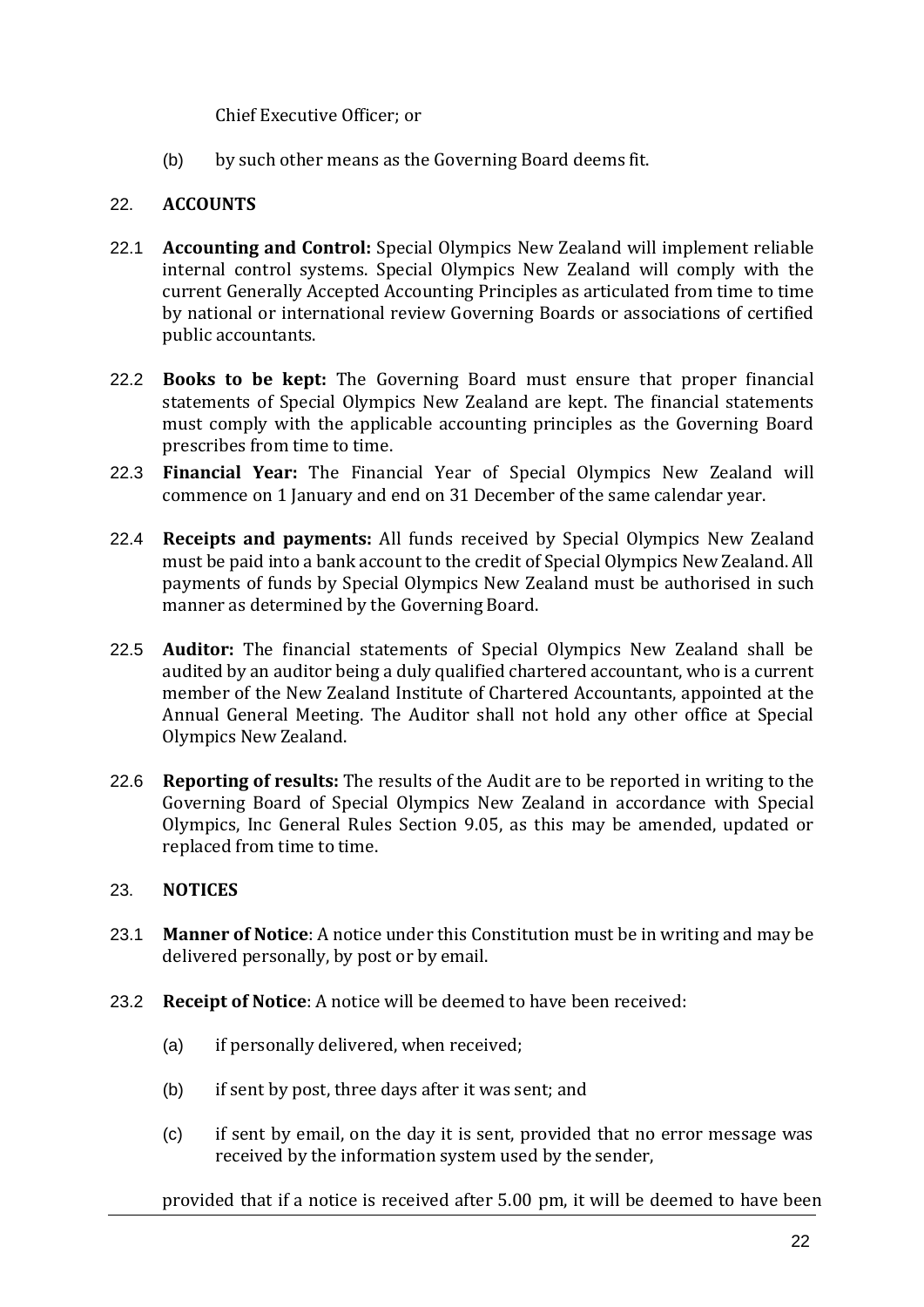Chief Executive Officer; or

(b) by such other means as the Governing Board deems fit.

#### <span id="page-20-0"></span>22. **ACCOUNTS**

- 22.1 **Accounting and Control:** Special Olympics New Zealand will implement reliable internal control systems. Special Olympics New Zealand will comply with the current Generally Accepted Accounting Principles as articulated from time to time by national or international review Governing Boards or associations of certified public accountants.
- 22.2 **Books to be kept:** The Governing Board must ensure that proper financial statements of Special Olympics New Zealand are kept. The financial statements must comply with the applicable accounting principles as the Governing Board prescribes from time to time.
- 22.3 **Financial Year:** The Financial Year of Special Olympics New Zealand will commence on 1 January and end on 31 December of the same calendar year.
- 22.4 **Receipts and payments:** All funds received by Special Olympics New Zealand must be paid into a bank account to the credit of Special Olympics New Zealand. All payments of funds by Special Olympics New Zealand must be authorised in such manner as determined by the Governing Board.
- 22.5 **Auditor:** The financial statements of Special Olympics New Zealand shall be audited by an auditor being a duly qualified chartered accountant, who is a current member of the New Zealand Institute of Chartered Accountants, appointed at the Annual General Meeting. The Auditor shall not hold any other office at Special Olympics New Zealand.
- 22.6 **Reporting of results:** The results of the Audit are to be reported in writing to the Governing Board of Special Olympics New Zealand in accordance with Special Olympics, Inc General Rules Section 9.05, as this may be amended, updated or replaced from time to time.

#### <span id="page-20-1"></span>23. **NOTICES**

- 23.1 **Manner of Notice**: A notice under this Constitution must be in writing and may be delivered personally, by post or by email.
- 23.2 **Receipt of Notice**: A notice will be deemed to have been received:
	- (a) if personally delivered, when received;
	- (b) if sent by post, three days after it was sent; and
	- (c) if sent by email, on the day it is sent, provided that no error message was received by the information system used by the sender,

provided that if a notice is received after 5.00 pm, it will be deemed to have been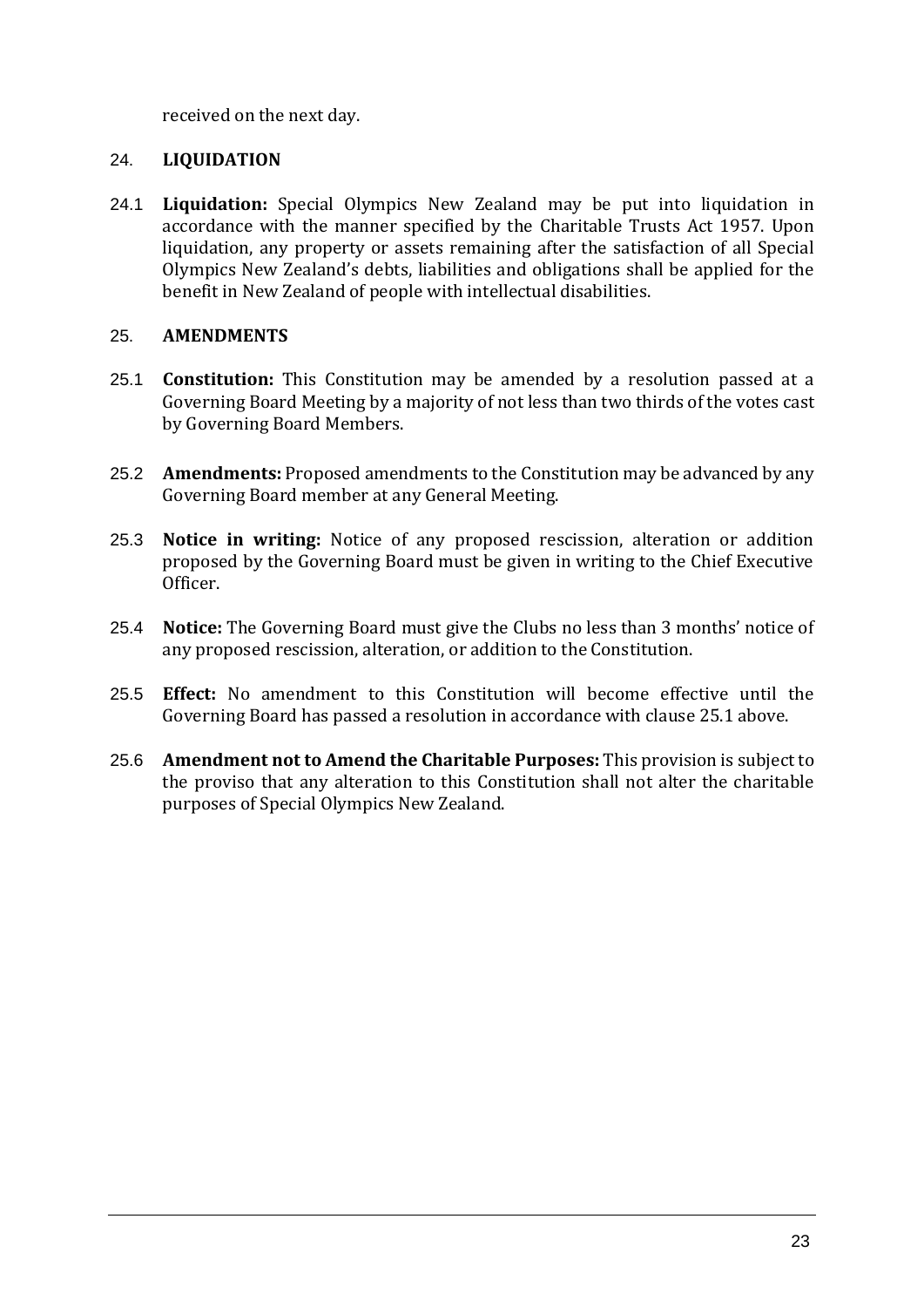received on the next day.

#### <span id="page-21-0"></span>24. **LIQUIDATION**

24.1 **Liquidation:** Special Olympics New Zealand may be put into liquidation in accordance with the manner specified by the Charitable Trusts Act 1957. Upon liquidation, any property or assets remaining after the satisfaction of all Special Olympics New Zealand's debts, liabilities and obligations shall be applied for the benefit in New Zealand of people with intellectual disabilities.

#### <span id="page-21-1"></span>25. **AMENDMENTS**

- 25.1 **Constitution:** This Constitution may be amended by a resolution passed at a Governing Board Meeting by a majority of not less than two thirds of the votes cast by Governing Board Members.
- 25.2 **Amendments:** Proposed amendments to the Constitution may be advanced by any Governing Board member at any General Meeting.
- 25.3 **Notice in writing:** Notice of any proposed rescission, alteration or addition proposed by the Governing Board must be given in writing to the Chief Executive Officer.
- 25.4 **Notice:** The Governing Board must give the Clubs no less than 3 months' notice of any proposed rescission, alteration, or addition to the Constitution.
- 25.5 **Effect:** No amendment to this Constitution will become effective until the Governing Board has passed a resolution in accordance with clause 25.1 above.
- 25.6 **Amendment not to Amend the Charitable Purposes:** This provision is subject to the proviso that any alteration to this Constitution shall not alter the charitable purposes of Special Olympics New Zealand.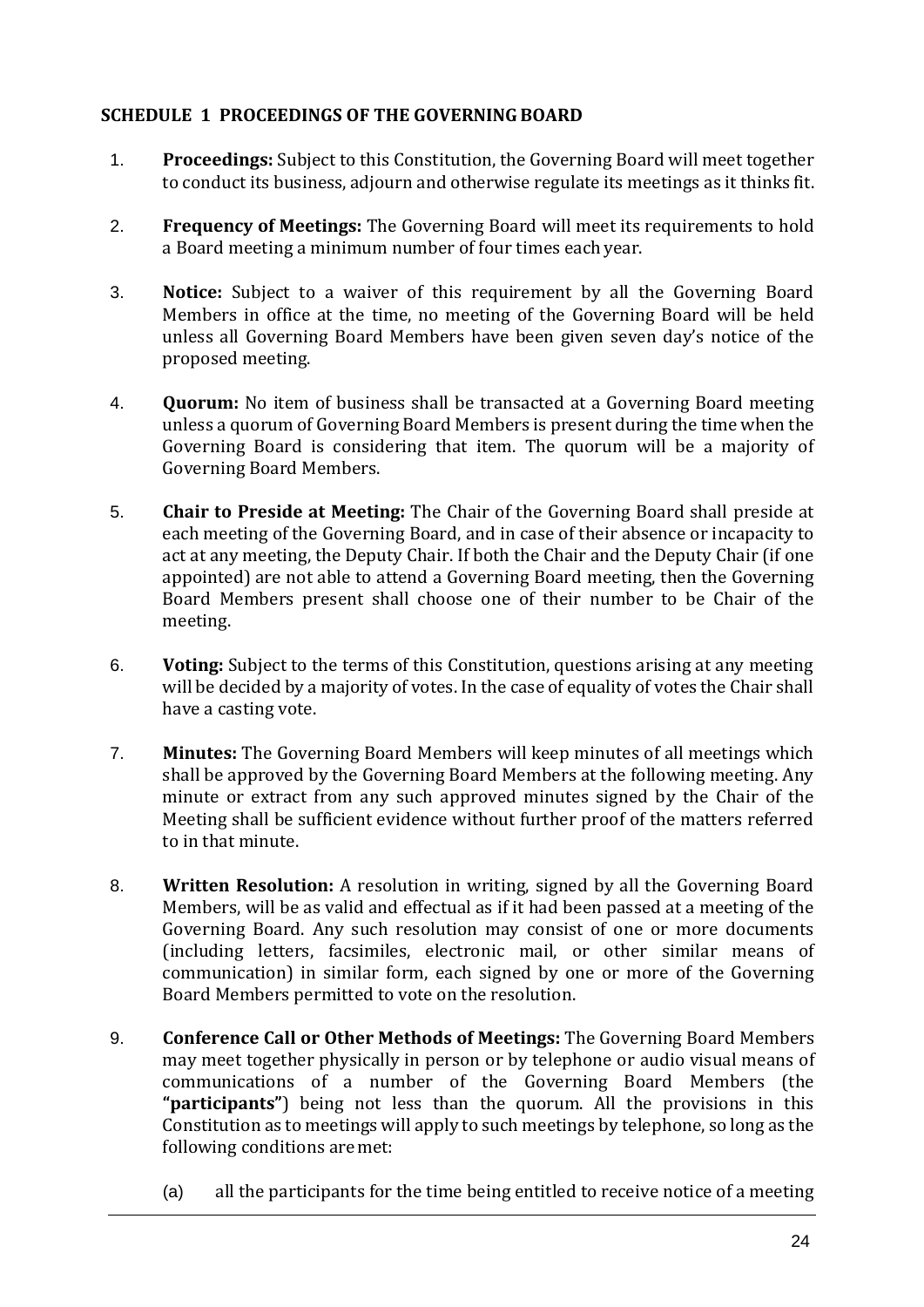#### <span id="page-22-0"></span>**SCHEDULE 1 PROCEEDINGS OF THE GOVERNING BOARD**

- 1. **Proceedings:** Subject to this Constitution, the Governing Board will meet together to conduct its business, adjourn and otherwise regulate its meetings as it thinks fit.
- 2. **Frequency of Meetings:** The Governing Board will meet its requirements to hold a Board meeting a minimum number of four times eachyear.
- 3. **Notice:** Subject to a waiver of this requirement by all the Governing Board Members in office at the time, no meeting of the Governing Board will be held unless all Governing Board Members have been given seven day's notice of the proposed meeting.
- 4. **Quorum:** No item of business shall be transacted at a Governing Board meeting unless a quorum of Governing Board Members is present during the time when the Governing Board is considering that item. The quorum will be a majority of Governing Board Members.
- 5. **Chair to Preside at Meeting:** The Chair of the Governing Board shall preside at each meeting of the Governing Board, and in case of their absence or incapacity to act at any meeting, the Deputy Chair. If both the Chair and the Deputy Chair (if one appointed) are not able to attend a Governing Board meeting, then the Governing Board Members present shall choose one of their number to be Chair of the meeting.
- 6. **Voting:** Subject to the terms of this Constitution, questions arising at any meeting will be decided by a majority of votes. In the case of equality of votes the Chair shall have a casting vote.
- 7. **Minutes:** The Governing Board Members will keep minutes of all meetings which shall be approved by the Governing Board Members at the following meeting. Any minute or extract from any such approved minutes signed by the Chair of the Meeting shall be sufficient evidence without further proof of the matters referred to in that minute.
- 8. **Written Resolution:** A resolution in writing, signed by all the Governing Board Members, will be as valid and effectual as if it had been passed at a meeting of the Governing Board. Any such resolution may consist of one or more documents (including letters, facsimiles, electronic mail, or other similar means of communication) in similar form, each signed by one or more of the Governing Board Members permitted to vote on the resolution.
- 9. **Conference Call or Other Methods of Meetings:** The Governing Board Members may meet together physically in person or by telephone or audio visual means of communications of a number of the Governing Board Members (the **"participants"**) being not less than the quorum. All the provisions in this Constitution as to meetings will apply to such meetings by telephone, so long as the following conditions aremet:
	- (a) all the participants for the time being entitled to receive notice of a meeting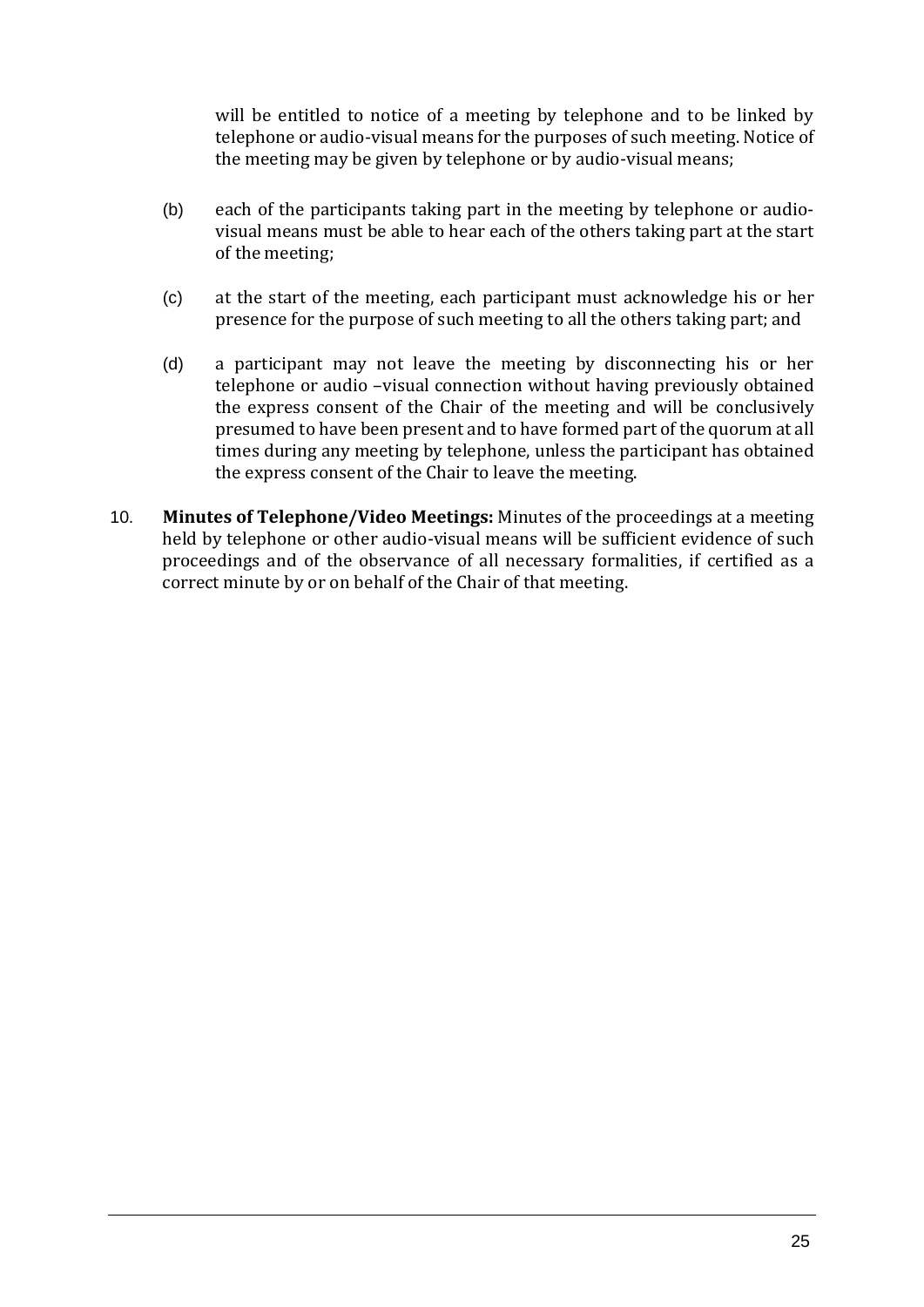will be entitled to notice of a meeting by telephone and to be linked by telephone or audio-visual means for the purposes of such meeting. Notice of the meeting may be given by telephone or by audio-visual means;

- (b) each of the participants taking part in the meeting by telephone or audiovisual means must be able to hear each of the others taking part at the start of the meeting;
- (c) at the start of the meeting, each participant must acknowledge his or her presence for the purpose of such meeting to all the others taking part; and
- (d) a participant may not leave the meeting by disconnecting his or her telephone or audio –visual connection without having previously obtained the express consent of the Chair of the meeting and will be conclusively presumed to have been present and to have formed part of the quorum at all times during any meeting by telephone, unless the participant has obtained the express consent of the Chair to leave the meeting.
- 10. **Minutes of Telephone/Video Meetings:** Minutes of the proceedings at a meeting held by telephone or other audio-visual means will be sufficient evidence of such proceedings and of the observance of all necessary formalities, if certified as a correct minute by or on behalf of the Chair of that meeting.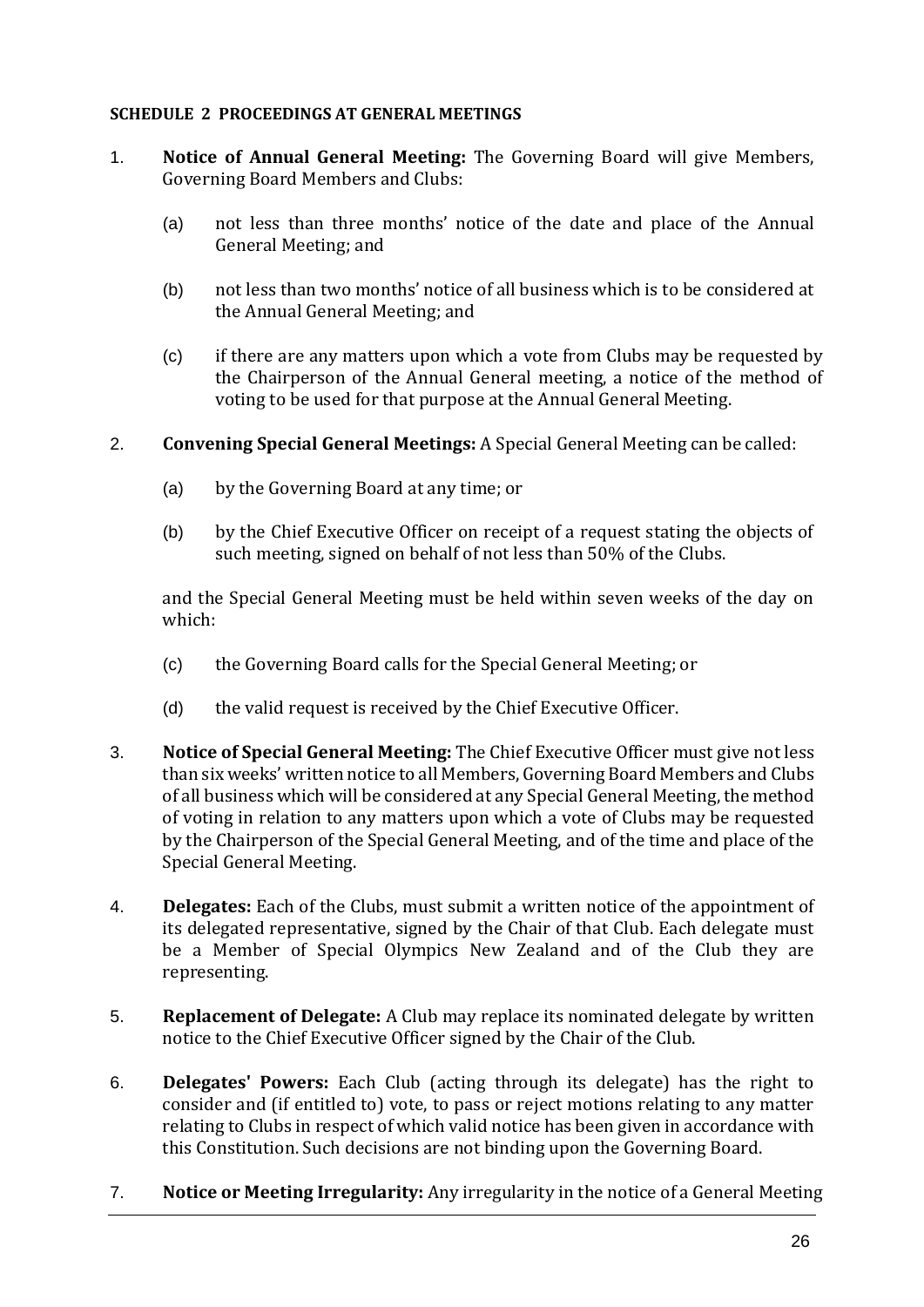#### <span id="page-24-0"></span>**SCHEDULE 2 PROCEEDINGS AT GENERAL MEETINGS**

- 1. **Notice of Annual General Meeting:** The Governing Board will give Members, Governing Board Members and Clubs:
	- (a) not less than three months' notice of the date and place of the Annual General Meeting; and
	- (b) not less than two months' notice of all business which is to be considered at the Annual General Meeting; and
	- (c) if there are any matters upon which a vote from Clubs may be requested by the Chairperson of the Annual General meeting, a notice of the method of voting to be used for that purpose at the Annual General Meeting.
- 2. **Convening Special General Meetings:** A Special General Meeting can be called:
	- (a) by the Governing Board at any time; or
	- (b) by the Chief Executive Officer on receipt of a request stating the objects of such meeting, signed on behalf of not less than 50% of the Clubs.

and the Special General Meeting must be held within seven weeks of the day on which:

- (c) the Governing Board calls for the Special General Meeting; or
- (d) the valid request is received by the Chief Executive Officer.
- 3. **Notice of Special General Meeting:** The Chief Executive Officer must give not less than six weeks' written notice to all Members, Governing Board Members and Clubs of all business which will be considered at any Special General Meeting, the method of voting in relation to any matters upon which a vote of Clubs may be requested by the Chairperson of the Special General Meeting, and of the time and place of the Special General Meeting.
- 4. **Delegates:** Each of the Clubs, must submit a written notice of the appointment of its delegated representative, signed by the Chair of that Club. Each delegate must be a Member of Special Olympics New Zealand and of the Club they are representing.
- 5. **Replacement of Delegate:** A Club may replace its nominated delegate by written notice to the Chief Executive Officer signed by the Chair of the Club.
- 6. **Delegates' Powers:** Each Club (acting through its delegate) has the right to consider and (if entitled to) vote, to pass or reject motions relating to any matter relating to Clubs in respect of which valid notice has been given in accordance with this Constitution. Such decisions are not binding upon the Governing Board.
- 7. **Notice or Meeting Irregularity:** Any irregularity in the notice of a General Meeting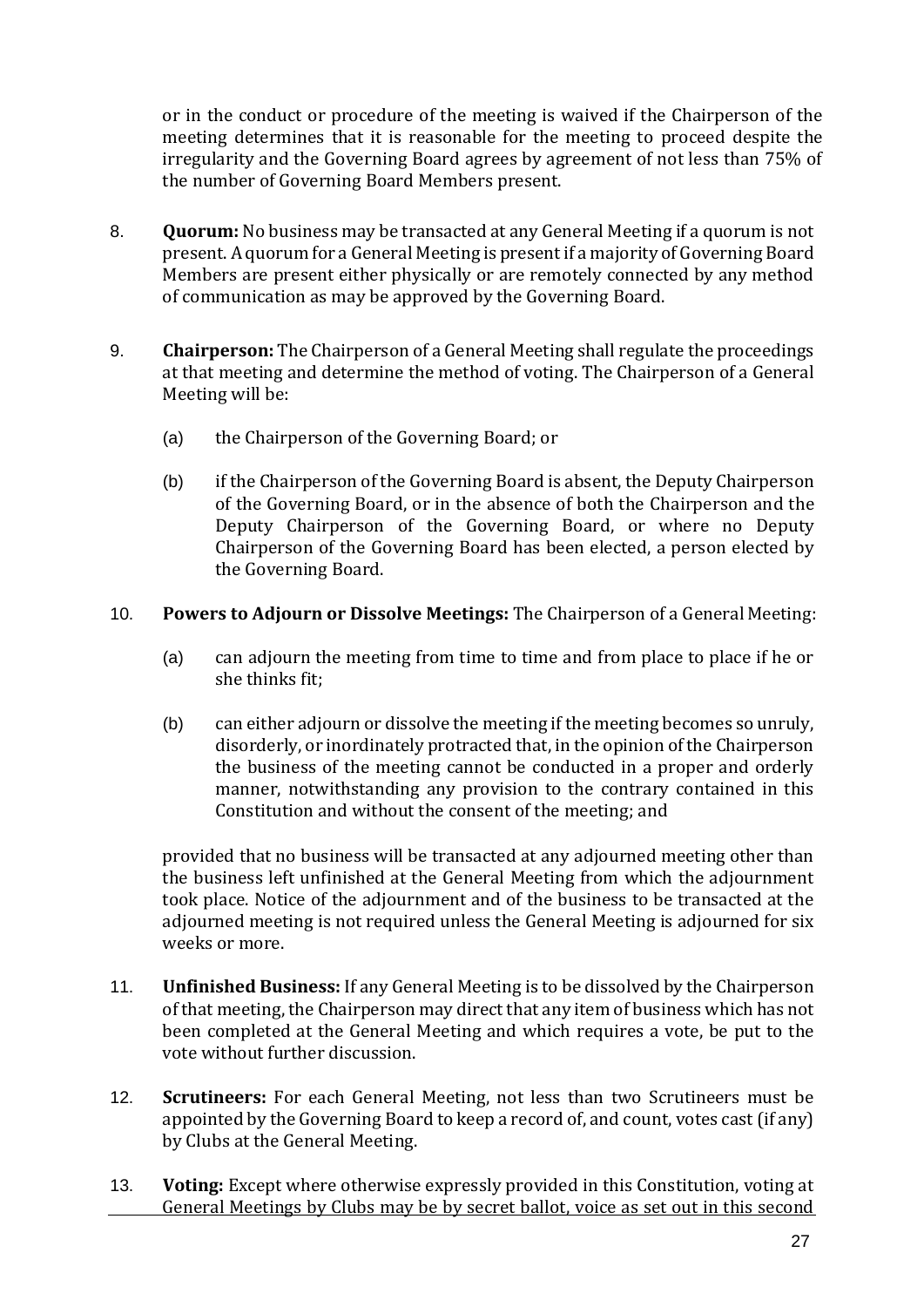or in the conduct or procedure of the meeting is waived if the Chairperson of the meeting determines that it is reasonable for the meeting to proceed despite the irregularity and the Governing Board agrees by agreement of not less than 75% of the number of Governing Board Members present.

- 8. **Quorum:** No business may be transacted at any General Meeting if a quorum is not present. A quorum for a General Meeting is present if a majority of Governing Board Members are present either physically or are remotely connected by any method of communication as may be approved by the Governing Board.
- 9. **Chairperson:** The Chairperson of a General Meeting shall regulate the proceedings at that meeting and determine the method of voting. The Chairperson of a General Meeting will be:
	- (a) the Chairperson of the Governing Board; or
	- (b) if the Chairperson of the Governing Board is absent, the Deputy Chairperson of the Governing Board, or in the absence of both the Chairperson and the Deputy Chairperson of the Governing Board, or where no Deputy Chairperson of the Governing Board has been elected, a person elected by the Governing Board.
- 10. **Powers to Adjourn or Dissolve Meetings:** The Chairperson of a General Meeting:
	- (a) can adjourn the meeting from time to time and from place to place if he or she thinks fit;
	- (b) can either adjourn or dissolve the meeting if the meeting becomes so unruly, disorderly, or inordinately protracted that, in the opinion of the Chairperson the business of the meeting cannot be conducted in a proper and orderly manner, notwithstanding any provision to the contrary contained in this Constitution and without the consent of the meeting; and

provided that no business will be transacted at any adjourned meeting other than the business left unfinished at the General Meeting from which the adjournment took place. Notice of the adjournment and of the business to be transacted at the adjourned meeting is not required unless the General Meeting is adjourned for six weeks or more.

- 11. **Unfinished Business:** If any General Meeting is to be dissolved by the Chairperson of that meeting, the Chairperson may direct that any item of business which has not been completed at the General Meeting and which requires a vote, be put to the vote without further discussion.
- 12. **Scrutineers:** For each General Meeting, not less than two Scrutineers must be appointed by the Governing Board to keep a record of, and count, votes cast (if any) by Clubs at the General Meeting.
- 13. **Voting:** Except where otherwise expressly provided in this Constitution, voting at General Meetings by Clubs may be by secret ballot, voice as set out in this second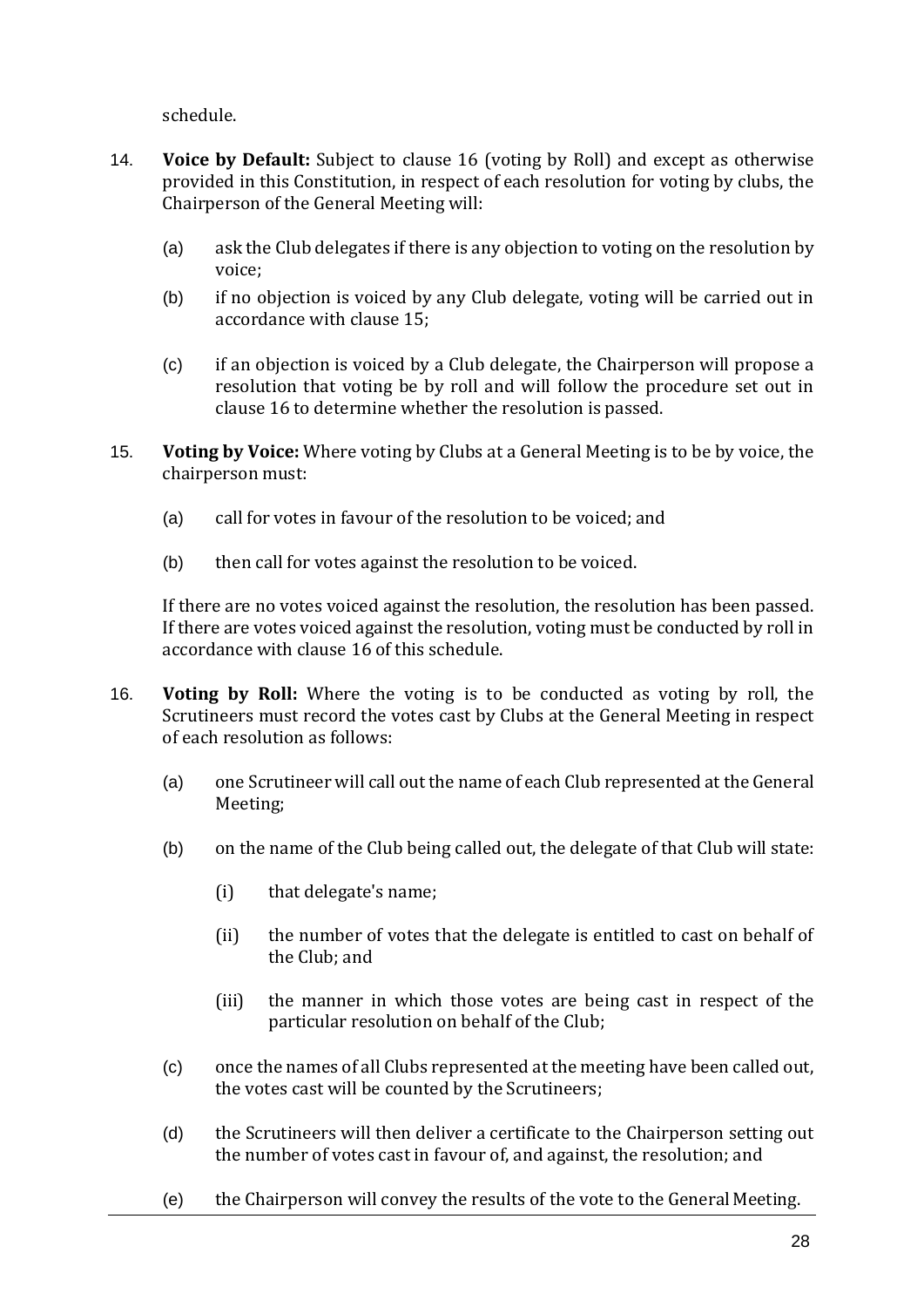schedule.

- 14. **Voice by Default:** Subject to clause 16 (voting by Roll) and except as otherwise provided in this Constitution, in respect of each resolution for voting by clubs, the Chairperson of the General Meeting will:
	- (a) ask the Club delegates if there is any objection to voting on the resolution by voice;
	- (b) if no objection is voiced by any Club delegate, voting will be carried out in accordance with clause 15;
	- (c) if an objection is voiced by a Club delegate, the Chairperson will propose a resolution that voting be by roll and will follow the procedure set out in clause 16 to determine whether the resolution is passed.
- 15. **Voting by Voice:** Where voting by Clubs at a General Meeting is to be by voice, the chairperson must:
	- (a) call for votes in favour of the resolution to be voiced; and
	- (b) then call for votes against the resolution to be voiced.

If there are no votes voiced against the resolution, the resolution has been passed. If there are votes voiced against the resolution, voting must be conducted by roll in accordance with clause 16 of this schedule.

- 16. **Voting by Roll:** Where the voting is to be conducted as voting by roll, the Scrutineers must record the votes cast by Clubs at the General Meeting in respect of each resolution as follows:
	- (a) one Scrutineer will call out the name of each Club represented at the General Meeting;
	- (b) on the name of the Club being called out, the delegate of that Club will state:
		- (i) that delegate's name;
		- (ii) the number of votes that the delegate is entitled to cast on behalf of the Club; and
		- (iii) the manner in which those votes are being cast in respect of the particular resolution on behalf of the Club;
	- (c) once the names of all Clubs represented at the meeting have been called out, the votes cast will be counted by the Scrutineers;
	- (d) the Scrutineers will then deliver a certificate to the Chairperson setting out the number of votes cast in favour of, and against, the resolution; and
	- (e) the Chairperson will convey the results of the vote to the General Meeting.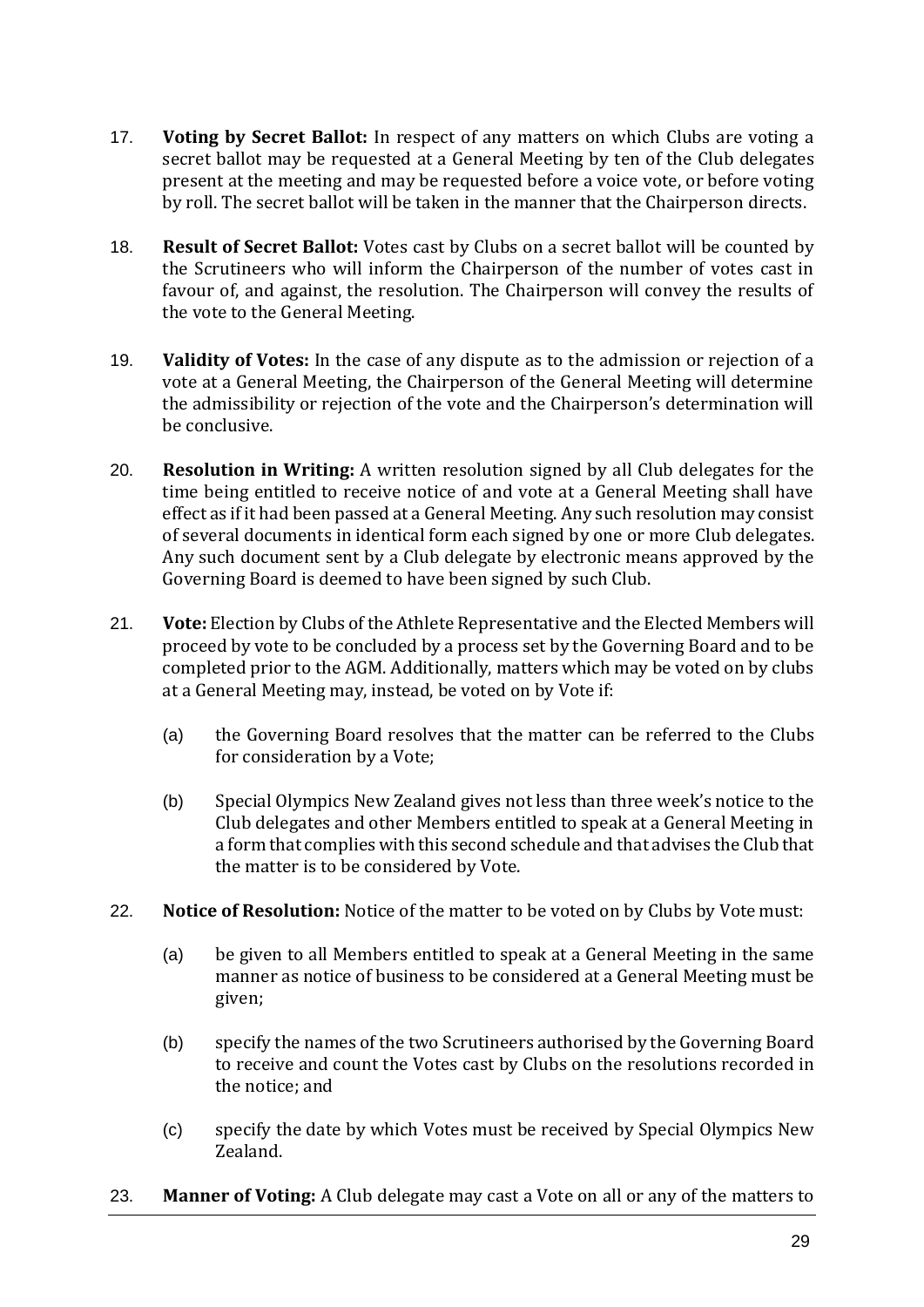- 17. **Voting by Secret Ballot:** In respect of any matters on which Clubs are voting a secret ballot may be requested at a General Meeting by ten of the Club delegates present at the meeting and may be requested before a voice vote, or before voting by roll. The secret ballot will be taken in the manner that the Chairperson directs.
- 18. **Result of Secret Ballot:** Votes cast by Clubs on a secret ballot will be counted by the Scrutineers who will inform the Chairperson of the number of votes cast in favour of, and against, the resolution. The Chairperson will convey the results of the vote to the General Meeting.
- 19. **Validity of Votes:** In the case of any dispute as to the admission or rejection of a vote at a General Meeting, the Chairperson of the General Meeting will determine the admissibility or rejection of the vote and the Chairperson's determination will be conclusive.
- 20. **Resolution in Writing:** A written resolution signed by all Club delegates for the time being entitled to receive notice of and vote at a General Meeting shall have effect as if it had been passed at a General Meeting. Any such resolution may consist of several documents in identical form each signed by one or more Club delegates. Any such document sent by a Club delegate by electronic means approved by the Governing Board is deemed to have been signed by such Club.
- 21. **Vote:** Election by Clubs of the Athlete Representative and the Elected Members will proceed by vote to be concluded by a process set by the Governing Board and to be completed prior to the AGM. Additionally, matters which may be voted on by clubs at a General Meeting may, instead, be voted on by Vote if:
	- (a) the Governing Board resolves that the matter can be referred to the Clubs for consideration by a Vote;
	- (b) Special Olympics New Zealand gives not less than three week's notice to the Club delegates and other Members entitled to speak at a General Meeting in a form that complies with this second schedule and that advises the Club that the matter is to be considered by Vote.
- 22. **Notice of Resolution:** Notice of the matter to be voted on by Clubs by Vote must:
	- (a) be given to all Members entitled to speak at a General Meeting in the same manner as notice of business to be considered at a General Meeting must be given;
	- (b) specify the names of the two Scrutineers authorised by the Governing Board to receive and count the Votes cast by Clubs on the resolutions recorded in the notice; and
	- (c) specify the date by which Votes must be received by Special Olympics New Zealand.
- 23. **Manner of Voting:** A Club delegate may cast a Vote on all or any of the matters to